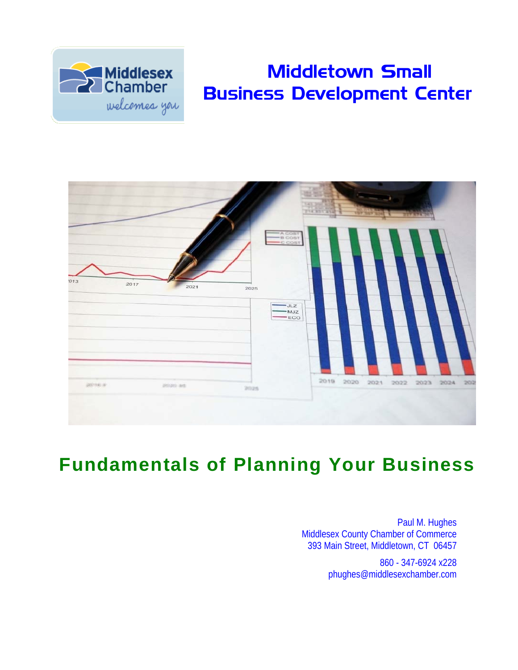

# Middletown Small Business Development Center

|             |              |      | = A COST<br>= B COST<br>= C COST | 488<br><b>Hound</b> |      | <b>TET SET ESE</b> |      | 277 873 90 |           |     |
|-------------|--------------|------|----------------------------------|---------------------|------|--------------------|------|------------|-----------|-----|
| 013<br>2017 | 2021         | 2025 | $-JLZ$<br>$-$ MJZ<br>$-ECO$      |                     |      |                    |      |            |           |     |
| 2010年       | printry art. | 2025 |                                  | 2019                | 2020 | 2021               | 2022 |            | 2023 2024 | 202 |

# **Fundamentals of Planning Your Business**

Paul M. Hughes Middlesex County Chamber of Commerce 393 Main Street, Middletown, CT 06457

> 860 - 347-6924 x228 phughes@middlesexchamber.com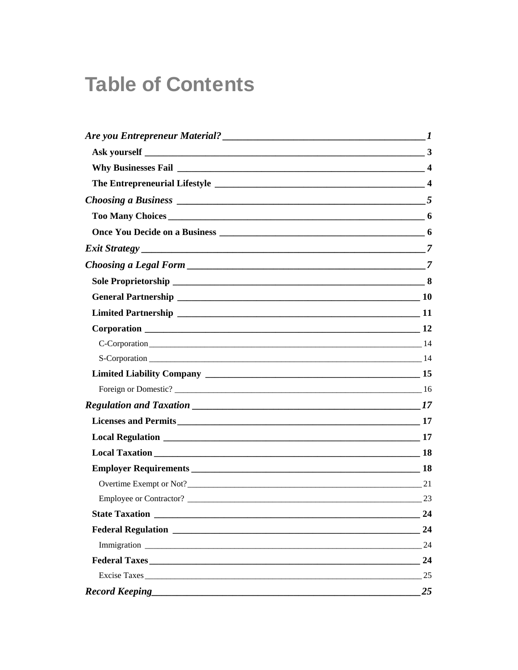# **Table of Contents**

| Choosing a Business $\frac{1}{5}$ |    |
|-----------------------------------|----|
|                                   |    |
|                                   |    |
|                                   |    |
|                                   |    |
|                                   |    |
|                                   |    |
|                                   |    |
|                                   |    |
|                                   |    |
| $S-Corporation$ 14                |    |
|                                   |    |
|                                   |    |
|                                   |    |
|                                   |    |
|                                   |    |
|                                   |    |
|                                   |    |
| Overtime Exempt or Not?<br>21     |    |
|                                   |    |
| <b>State Taxation</b>             | 24 |
|                                   | 24 |
|                                   | 24 |
|                                   | 24 |
|                                   | 25 |
|                                   | 25 |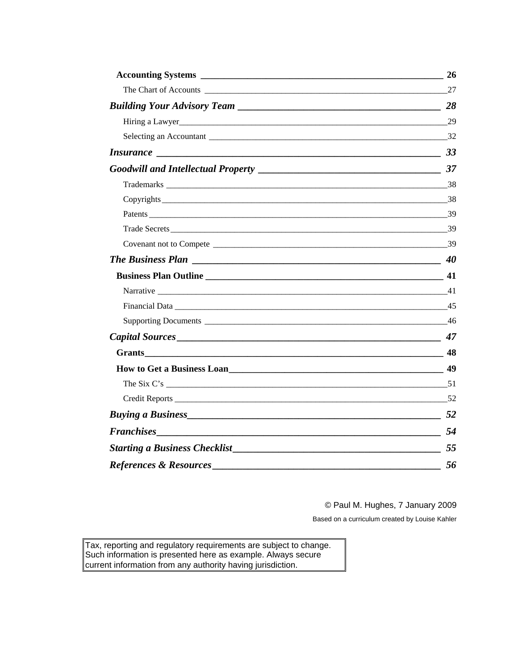|                                                                                                                | 26             |
|----------------------------------------------------------------------------------------------------------------|----------------|
|                                                                                                                |                |
|                                                                                                                |                |
|                                                                                                                |                |
|                                                                                                                |                |
| <i>Insurance</i> 233                                                                                           |                |
|                                                                                                                |                |
|                                                                                                                |                |
|                                                                                                                |                |
|                                                                                                                |                |
|                                                                                                                |                |
|                                                                                                                |                |
| The Business Plan $\qquad$ 40                                                                                  |                |
|                                                                                                                |                |
|                                                                                                                |                |
|                                                                                                                |                |
|                                                                                                                |                |
| Capital Sources 27 22 22 23 247                                                                                |                |
|                                                                                                                |                |
| How to Get a Business Loan 1994 and 1994 and 1994 and 1994 and 1994 and 1994 and 1994 and 1994 and 1994 and 19 |                |
|                                                                                                                |                |
|                                                                                                                | $\frac{1}{52}$ |
| <b>Buying a Business</b> 52                                                                                    |                |
|                                                                                                                |                |
|                                                                                                                | 55             |
| <b>References &amp; Resources</b>                                                                              | 56             |

© Paul M. Hughes, 7 January 2009

Based on a curriculum created by Louise Kahler

Tax, reporting and regulatory requirements are subject to change. Such information is presented here as example. Always secure current information from any authority having jurisdiction.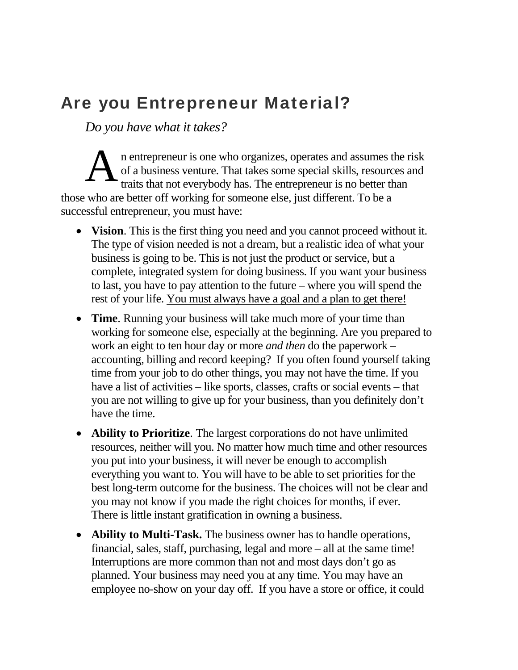# Are you Entrepreneur Material?

*Do you have what it takes?* 

n entrepreneur is one who organizes, operates and assumes the risk of a business venture. That takes some special skills, resources and traits that not everybody has. The entrepreneur is no better than those who are better off working for someone else, just different. To be a successful entrepreneur, you must have: A

- **Vision**. This is the first thing you need and you cannot proceed without it. The type of vision needed is not a dream, but a realistic idea of what your business is going to be. This is not just the product or service, but a complete, integrated system for doing business. If you want your business to last, you have to pay attention to the future – where you will spend the rest of your life. You must always have a goal and a plan to get there!
- **Time**. Running your business will take much more of your time than working for someone else, especially at the beginning. Are you prepared to work an eight to ten hour day or more *and then* do the paperwork – accounting, billing and record keeping? If you often found yourself taking time from your job to do other things, you may not have the time. If you have a list of activities – like sports, classes, crafts or social events – that you are not willing to give up for your business, than you definitely don't have the time.
- **Ability to Prioritize**. The largest corporations do not have unlimited resources, neither will you. No matter how much time and other resources you put into your business, it will never be enough to accomplish everything you want to. You will have to be able to set priorities for the best long-term outcome for the business. The choices will not be clear and you may not know if you made the right choices for months, if ever. There is little instant gratification in owning a business.
- **Ability to Multi-Task.** The business owner has to handle operations, financial, sales, staff, purchasing, legal and more – all at the same time! Interruptions are more common than not and most days don't go as planned. Your business may need you at any time. You may have an employee no-show on your day off. If you have a store or office, it could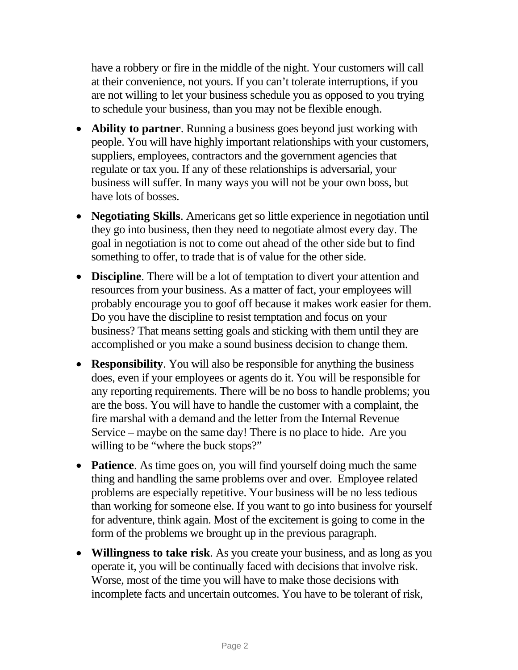have a robbery or fire in the middle of the night. Your customers will call at their convenience, not yours. If you can't tolerate interruptions, if you are not willing to let your business schedule you as opposed to you trying to schedule your business, than you may not be flexible enough.

- **Ability to partner**. Running a business goes beyond just working with people. You will have highly important relationships with your customers, suppliers, employees, contractors and the government agencies that regulate or tax you. If any of these relationships is adversarial, your business will suffer. In many ways you will not be your own boss, but have lots of bosses.
- **Negotiating Skills**. Americans get so little experience in negotiation until they go into business, then they need to negotiate almost every day. The goal in negotiation is not to come out ahead of the other side but to find something to offer, to trade that is of value for the other side.
- **Discipline**. There will be a lot of temptation to divert your attention and resources from your business. As a matter of fact, your employees will probably encourage you to goof off because it makes work easier for them. Do you have the discipline to resist temptation and focus on your business? That means setting goals and sticking with them until they are accomplished or you make a sound business decision to change them.
- **Responsibility**. You will also be responsible for anything the business does, even if your employees or agents do it. You will be responsible for any reporting requirements. There will be no boss to handle problems; you are the boss. You will have to handle the customer with a complaint, the fire marshal with a demand and the letter from the Internal Revenue Service – maybe on the same day! There is no place to hide. Are you willing to be "where the buck stops?"
- **Patience**. As time goes on, you will find yourself doing much the same thing and handling the same problems over and over. Employee related problems are especially repetitive. Your business will be no less tedious than working for someone else. If you want to go into business for yourself for adventure, think again. Most of the excitement is going to come in the form of the problems we brought up in the previous paragraph.
- **Willingness to take risk**. As you create your business, and as long as you operate it, you will be continually faced with decisions that involve risk. Worse, most of the time you will have to make those decisions with incomplete facts and uncertain outcomes. You have to be tolerant of risk,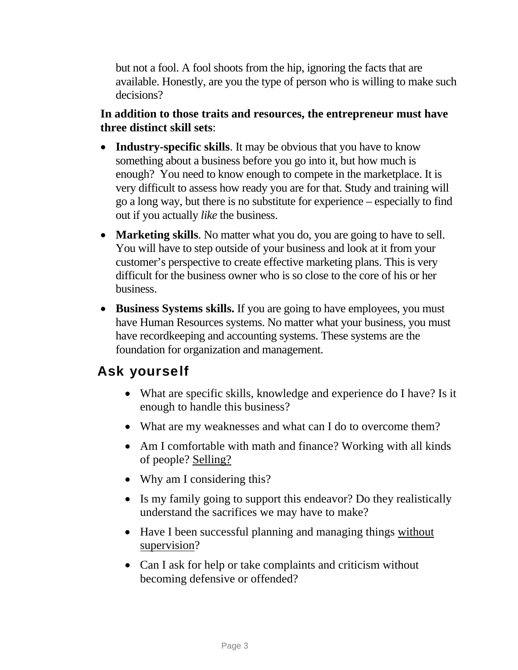but not a fool. A fool shoots from the hip, ignoring the facts that are available. Honestly, are you the type of person who is willing to make such decisions?

#### **In addition to those traits and resources, the entrepreneur must have three distinct skill sets**:

- **Industry-specific skills**. It may be obvious that you have to know something about a business before you go into it, but how much is enough? You need to know enough to compete in the marketplace. It is very difficult to assess how ready you are for that. Study and training will go a long way, but there is no substitute for experience – especially to find out if you actually *like* the business.
- **Marketing skills**. No matter what you do, you are going to have to sell. You will have to step outside of your business and look at it from your customer's perspective to create effective marketing plans. This is very difficult for the business owner who is so close to the core of his or her business.
- **Business Systems skills.** If you are going to have employees, you must have Human Resources systems. No matter what your business, you must have recordkeeping and accounting systems. These systems are the foundation for organization and management.

## <span id="page-5-0"></span>Ask yourself

- What are specific skills, knowledge and experience do I have? Is it enough to handle this business?
- What are my weaknesses and what can I do to overcome them?
- Am I comfortable with math and finance? Working with all kinds of people? Selling?
- Why am I considering this?
- Is my family going to support this endeavor? Do they realistically understand the sacrifices we may have to make?
- Have I been successful planning and managing things without supervision?
- Can I ask for help or take complaints and criticism without becoming defensive or offended?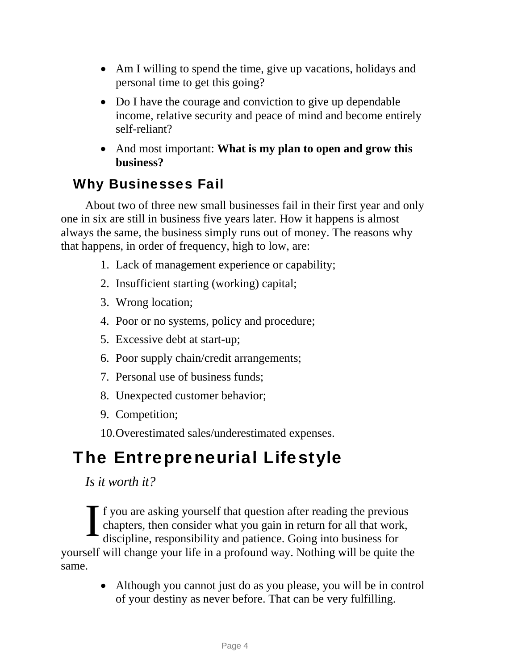- Am I willing to spend the time, give up vacations, holidays and personal time to get this going?
- Do I have the courage and conviction to give up dependable income, relative security and peace of mind and become entirely self-reliant?
- And most important: **What is my plan to open and grow this business?**

# Why Businesses Fail

<span id="page-6-0"></span>About two of three new small businesses fail in their first year and only one in six are still in business five years later. How it happens is almost always the same, the business simply runs out of money. The reasons why that happens, in order of frequency, high to low, are:

- 1. Lack of management experience or capability;
- 2. Insufficient starting (working) capital;
- 3. Wrong location;
- 4. Poor or no systems, policy and procedure;
- 5. Excessive debt at start-up;
- 6. Poor supply chain/credit arrangements;
- 7. Personal use of business funds;
- 8. Unexpected customer behavior;
- 9. Competition;
- 10.Overestimated sales/underestimated expenses.

# <span id="page-6-1"></span>The Entrepreneurial Lifestyle

*Is it worth it?* 

f you are asking yourself that question after reading the previous chapters, then consider what you gain in return for all that work, discipline, responsibility and patience. Going into business for yourself will change your life in a profound way. Nothing will be quite the same. I

> • Although you cannot just do as you please, you will be in control of your destiny as never before. That can be very fulfilling.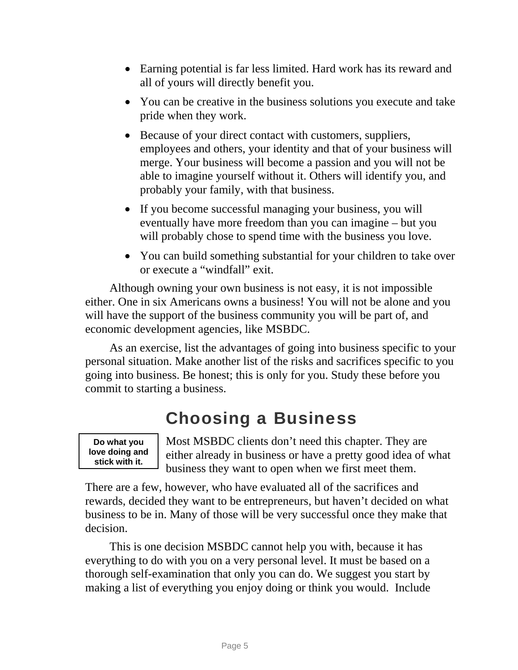- Earning potential is far less limited. Hard work has its reward and all of yours will directly benefit you.
- You can be creative in the business solutions you execute and take pride when they work.
- Because of your direct contact with customers, suppliers, employees and others, your identity and that of your business will merge. Your business will become a passion and you will not be able to imagine yourself without it. Others will identify you, and probably your family, with that business.
- If you become successful managing your business, you will eventually have more freedom than you can imagine – but you will probably chose to spend time with the business you love.
- You can build something substantial for your children to take over or execute a "windfall" exit.

Although owning your own business is not easy, it is not impossible either. One in six Americans owns a business! You will not be alone and you will have the support of the business community you will be part of, and economic development agencies, like MSBDC.

As an exercise, list the advantages of going into business specific to your personal situation. Make another list of the risks and sacrifices specific to you going into business. Be honest; this is only for you. Study these before you commit to starting a business.

# Choosing a Business

<span id="page-7-0"></span>**Do what you love doing and stick with it.** 

Most MSBDC clients don't need this chapter. They are either already in business or have a pretty good idea of what business they want to open when we first meet them.

There are a few, however, who have evaluated all of the sacrifices and rewards, decided they want to be entrepreneurs, but haven't decided on what business to be in. Many of those will be very successful once they make that decision.

This is one decision MSBDC cannot help you with, because it has everything to do with you on a very personal level. It must be based on a thorough self-examination that only you can do. We suggest you start by making a list of everything you enjoy doing or think you would. Include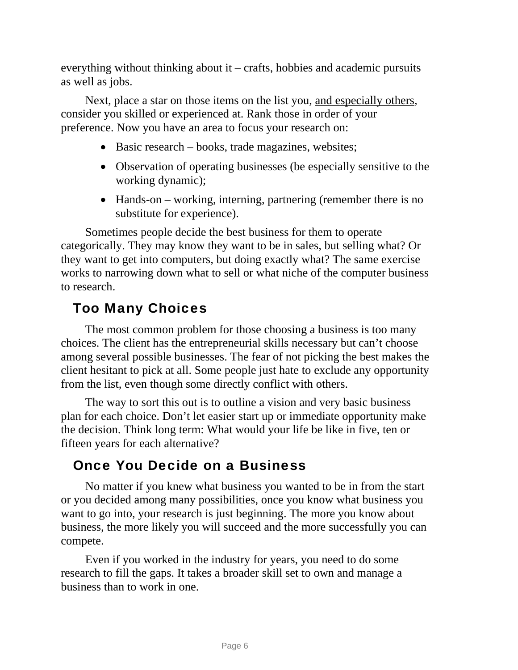everything without thinking about it – crafts, hobbies and academic pursuits as well as jobs.

Next, place a star on those items on the list you, and especially others, consider you skilled or experienced at. Rank those in order of your preference. Now you have an area to focus your research on:

- Basic research books, trade magazines, websites;
- Observation of operating businesses (be especially sensitive to the working dynamic);
- Hands-on working, interning, partnering (remember there is no substitute for experience).

Sometimes people decide the best business for them to operate categorically. They may know they want to be in sales, but selling what? Or they want to get into computers, but doing exactly what? The same exercise works to narrowing down what to sell or what niche of the computer business to research.

## Too Many Choices

<span id="page-8-0"></span>The most common problem for those choosing a business is too many choices. The client has the entrepreneurial skills necessary but can't choose among several possible businesses. The fear of not picking the best makes the client hesitant to pick at all. Some people just hate to exclude any opportunity from the list, even though some directly conflict with others.

The way to sort this out is to outline a vision and very basic business plan for each choice. Don't let easier start up or immediate opportunity make the decision. Think long term: What would your life be like in five, ten or fifteen years for each alternative?

## Once You Decide on a Business

<span id="page-8-1"></span>No matter if you knew what business you wanted to be in from the start or you decided among many possibilities, once you know what business you want to go into, your research is just beginning. The more you know about business, the more likely you will succeed and the more successfully you can compete.

Even if you worked in the industry for years, you need to do some research to fill the gaps. It takes a broader skill set to own and manage a business than to work in one.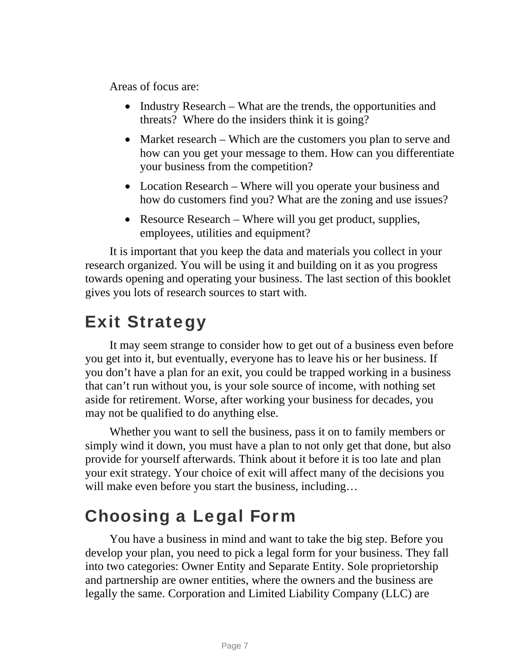Areas of focus are:

- Industry Research What are the trends, the opportunities and threats? Where do the insiders think it is going?
- Market research Which are the customers you plan to serve and how can you get your message to them. How can you differentiate your business from the competition?
- Location Research Where will you operate your business and how do customers find you? What are the zoning and use issues?
- Resource Research Where will you get product, supplies, employees, utilities and equipment?

It is important that you keep the data and materials you collect in your research organized. You will be using it and building on it as you progress towards opening and operating your business. The last section of this booklet gives you lots of research sources to start with.

# <span id="page-9-0"></span>Exit Strategy

It may seem strange to consider how to get out of a business even before you get into it, but eventually, everyone has to leave his or her business. If you don't have a plan for an exit, you could be trapped working in a business that can't run without you, is your sole source of income, with nothing set aside for retirement. Worse, after working your business for decades, you may not be qualified to do anything else.

Whether you want to sell the business, pass it on to family members or simply wind it down, you must have a plan to not only get that done, but also provide for yourself afterwards. Think about it before it is too late and plan your exit strategy. Your choice of exit will affect many of the decisions you will make even before you start the business, including...

# <span id="page-9-1"></span>Choosing a Legal Form

You have a business in mind and want to take the big step. Before you develop your plan, you need to pick a legal form for your business. They fall into two categories: Owner Entity and Separate Entity. Sole proprietorship and partnership are owner entities, where the owners and the business are legally the same. Corporation and Limited Liability Company (LLC) are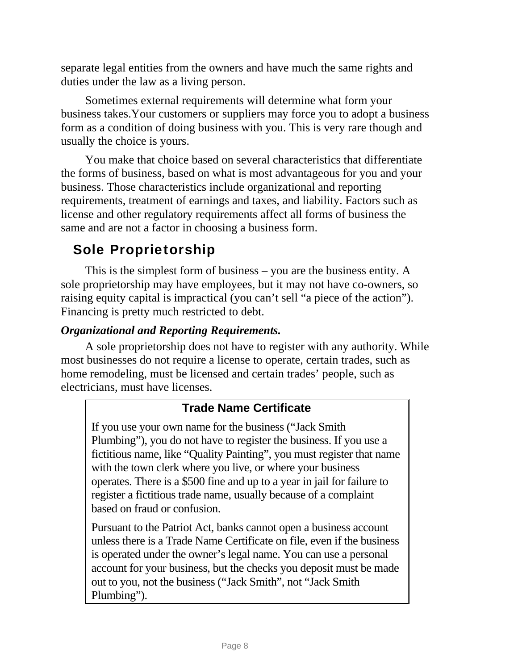separate legal entities from the owners and have much the same rights and duties under the law as a living person.

Sometimes external requirements will determine what form your business takes.Your customers or suppliers may force you to adopt a business form as a condition of doing business with you. This is very rare though and usually the choice is yours.

You make that choice based on several characteristics that differentiate the forms of business, based on what is most advantageous for you and your business. Those characteristics include organizational and reporting requirements, treatment of earnings and taxes, and liability. Factors such as license and other regulatory requirements affect all forms of business the same and are not a factor in choosing a business form.

# Sole Proprietorship

<span id="page-10-0"></span>This is the simplest form of business – you are the business entity. A sole proprietorship may have employees, but it may not have co-owners, so raising equity capital is impractical (you can't sell "a piece of the action"). Financing is pretty much restricted to debt.

### *Organizational and Reporting Requirements.*

A sole proprietorship does not have to register with any authority. While most businesses do not require a license to operate, certain trades, such as home remodeling, must be licensed and certain trades' people, such as electricians, must have licenses.

## **Trade Name Certificate**

If you use your own name for the business ("Jack Smith Plumbing"), you do not have to register the business. If you use a fictitious name, like "Quality Painting", you must register that name with the town clerk where you live, or where your business operates. There is a \$500 fine and up to a year in jail for failure to register a fictitious trade name, usually because of a complaint based on fraud or confusion.

Pursuant to the Patriot Act, banks cannot open a business account unless there is a Trade Name Certificate on file, even if the business is operated under the owner's legal name. You can use a personal account for your business, but the checks you deposit must be made out to you, not the business ("Jack Smith", not "Jack Smith Plumbing").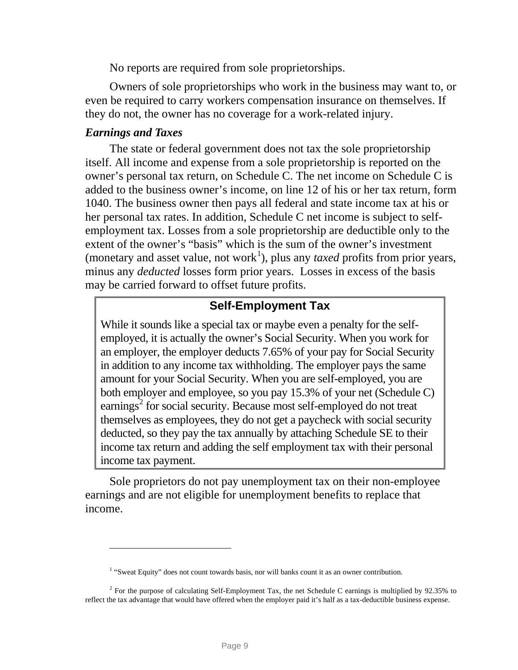No reports are required from sole proprietorships.

Owners of sole proprietorships who work in the business may want to, or even be required to carry workers compensation insurance on themselves. If they do not, the owner has no coverage for a work-related injury.

#### *Earnings and Taxes*

-

The state or federal government does not tax the sole proprietorship itself. All income and expense from a sole proprietorship is reported on the owner's personal tax return, on Schedule C. The net income on Schedule C is added to the business owner's income, on line 12 of his or her tax return, form 1040. The business owner then pays all federal and state income tax at his or her personal tax rates. In addition, Schedule C net income is subject to selfemployment tax. Losses from a sole proprietorship are deductible only to the extent of the owner's "basis" which is the sum of the owner's investment (monetary and asset value, not work<sup>[1](#page-11-0)</sup>), plus any *taxed* profits from prior years, minus any *deducted* losses form prior years. Losses in excess of the basis may be carried forward to offset future profits.

### **Self-Employment Tax**

While it sounds like a special tax or maybe even a penalty for the selfemployed, it is actually the owner's Social Security. When you work for an employer, the employer deducts 7.65% of your pay for Social Security in addition to any income tax withholding. The employer pays the same amount for your Social Security. When you are self-employed, you are both employer and employee, so you pay 15.3% of your net (Schedule C) earnings<sup>[2](#page-11-1)</sup> for social security. Because most self-employed do not treat themselves as employees, they do not get a paycheck with social security deducted, so they pay the tax annually by attaching Schedule SE to their income tax return and adding the self employment tax with their personal income tax payment.

Sole proprietors do not pay unemployment tax on their non-employee earnings and are not eligible for unemployment benefits to replace that income.

<sup>&</sup>lt;sup>1</sup> "Sweat Equity" does not count towards basis, nor will banks count it as an owner contribution.

<span id="page-11-1"></span><span id="page-11-0"></span><sup>&</sup>lt;sup>2</sup> For the purpose of calculating Self-Employment Tax, the net Schedule C earnings is multiplied by 92.35% to reflect the tax advantage that would have offered when the employer paid it's half as a tax-deductible business expense.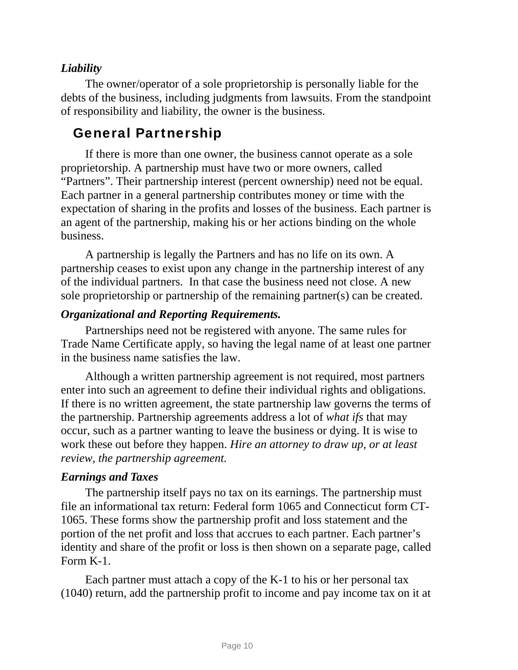### *Liability*

The owner/operator of a sole proprietorship is personally liable for the debts of the business, including judgments from lawsuits. From the standpoint of responsibility and liability, the owner is the business.

## General Partnership

<span id="page-12-0"></span>If there is more than one owner, the business cannot operate as a sole proprietorship. A partnership must have two or more owners, called "Partners". Their partnership interest (percent ownership) need not be equal. Each partner in a general partnership contributes money or time with the expectation of sharing in the profits and losses of the business. Each partner is an agent of the partnership, making his or her actions binding on the whole business.

A partnership is legally the Partners and has no life on its own. A partnership ceases to exist upon any change in the partnership interest of any of the individual partners. In that case the business need not close. A new sole proprietorship or partnership of the remaining partner(s) can be created.

### *Organizational and Reporting Requirements.*

Partnerships need not be registered with anyone. The same rules for Trade Name Certificate apply, so having the legal name of at least one partner in the business name satisfies the law.

Although a written partnership agreement is not required, most partners enter into such an agreement to define their individual rights and obligations. If there is no written agreement, the state partnership law governs the terms of the partnership. Partnership agreements address a lot of *what ifs* that may occur, such as a partner wanting to leave the business or dying. It is wise to work these out before they happen. *Hire an attorney to draw up, or at least review, the partnership agreement.*

#### *Earnings and Taxes*

The partnership itself pays no tax on its earnings. The partnership must file an informational tax return: Federal form 1065 and Connecticut form CT-1065. These forms show the partnership profit and loss statement and the portion of the net profit and loss that accrues to each partner. Each partner's identity and share of the profit or loss is then shown on a separate page, called Form K-1.

Each partner must attach a copy of the K-1 to his or her personal tax (1040) return, add the partnership profit to income and pay income tax on it at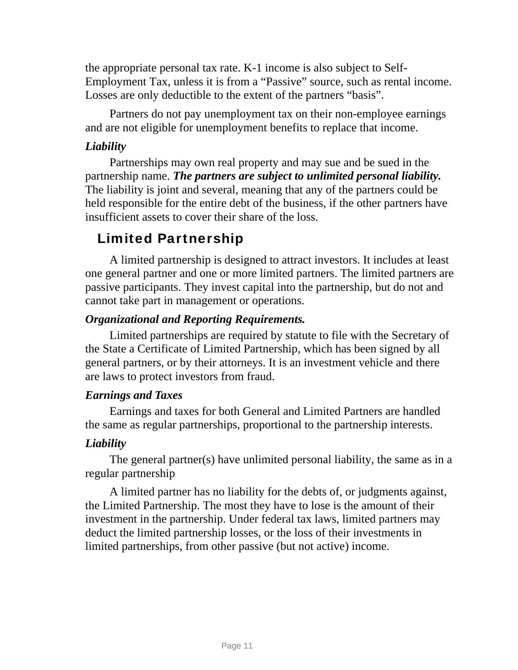the appropriate personal tax rate. K-1 income is also subject to Self-Employment Tax, unless it is from a "Passive" source, such as rental income. Losses are only deductible to the extent of the partners "basis".

Partners do not pay unemployment tax on their non-employee earnings and are not eligible for unemployment benefits to replace that income.

### *Liability*

Partnerships may own real property and may sue and be sued in the partnership name. *The partners are subject to unlimited personal liability.* The liability is joint and several, meaning that any of the partners could be held responsible for the entire debt of the business, if the other partners have insufficient assets to cover their share of the loss.

## Limited Partnership

<span id="page-13-0"></span>A limited partnership is designed to attract investors. It includes at least one general partner and one or more limited partners. The limited partners are passive participants. They invest capital into the partnership, but do not and cannot take part in management or operations.

### *Organizational and Reporting Requirements.*

Limited partnerships are required by statute to file with the Secretary of the State a Certificate of Limited Partnership, which has been signed by all general partners, or by their attorneys. It is an investment vehicle and there are laws to protect investors from fraud.

#### *Earnings and Taxes*

Earnings and taxes for both General and Limited Partners are handled the same as regular partnerships, proportional to the partnership interests.

### *Liability*

The general partner(s) have unlimited personal liability, the same as in a regular partnership

A limited partner has no liability for the debts of, or judgments against, the Limited Partnership. The most they have to lose is the amount of their investment in the partnership. Under federal tax laws, limited partners may deduct the limited partnership losses, or the loss of their investments in limited partnerships, from other passive (but not active) income.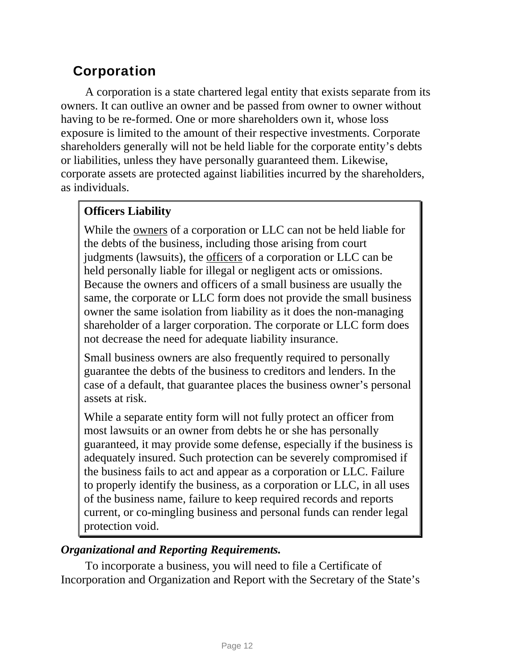## Corporation

<span id="page-14-0"></span>A corporation is a state chartered legal entity that exists separate from its owners. It can outlive an owner and be passed from owner to owner without having to be re-formed. One or more shareholders own it, whose loss exposure is limited to the amount of their respective investments. Corporate shareholders generally will not be held liable for the corporate entity's debts or liabilities, unless they have personally guaranteed them. Likewise, corporate assets are protected against liabilities incurred by the shareholders, as individuals.

### **Officers Liability**

While the owners of a corporation or LLC can not be held liable for the debts of the business, including those arising from court judgments (lawsuits), the officers of a corporation or LLC can be held personally liable for illegal or negligent acts or omissions. Because the owners and officers of a small business are usually the same, the corporate or LLC form does not provide the small business owner the same isolation from liability as it does the non-managing shareholder of a larger corporation. The corporate or LLC form does not decrease the need for adequate liability insurance.

Small business owners are also frequently required to personally guarantee the debts of the business to creditors and lenders. In the case of a default, that guarantee places the business owner's personal assets at risk.

While a separate entity form will not fully protect an officer from most lawsuits or an owner from debts he or she has personally guaranteed, it may provide some defense, especially if the business is adequately insured. Such protection can be severely compromised if the business fails to act and appear as a corporation or LLC. Failure to properly identify the business, as a corporation or LLC, in all uses of the business name, failure to keep required records and reports current, or co-mingling business and personal funds can render legal protection void.

### *Organizational and Reporting Requirements.*

To incorporate a business, you will need to file a Certificate of Incorporation and Organization and Report with the Secretary of the State's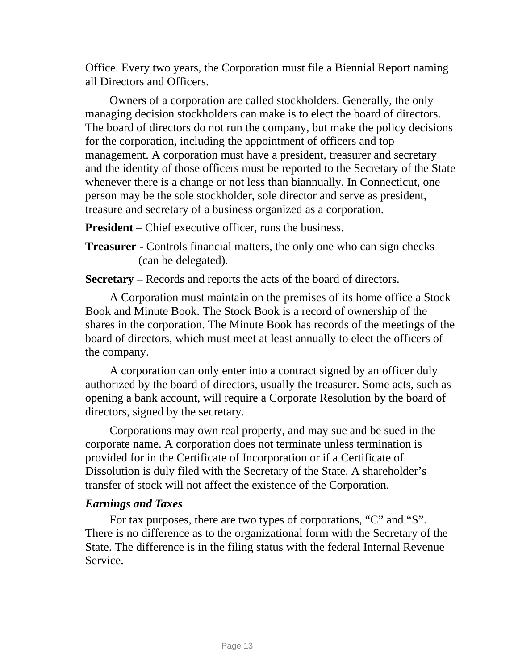Office. Every two years, the Corporation must file a Biennial Report naming all Directors and Officers.

Owners of a corporation are called stockholders. Generally, the only managing decision stockholders can make is to elect the board of directors. The board of directors do not run the company, but make the policy decisions for the corporation, including the appointment of officers and top management. A corporation must have a president, treasurer and secretary and the identity of those officers must be reported to the Secretary of the State whenever there is a change or not less than biannually. In Connecticut, one person may be the sole stockholder, sole director and serve as president, treasure and secretary of a business organized as a corporation.

**President** – Chief executive officer, runs the business.

**Treasurer** - Controls financial matters, the only one who can sign checks (can be delegated).

**Secretary** – Records and reports the acts of the board of directors.

A Corporation must maintain on the premises of its home office a Stock Book and Minute Book. The Stock Book is a record of ownership of the shares in the corporation. The Minute Book has records of the meetings of the board of directors, which must meet at least annually to elect the officers of the company.

A corporation can only enter into a contract signed by an officer duly authorized by the board of directors, usually the treasurer. Some acts, such as opening a bank account, will require a Corporate Resolution by the board of directors, signed by the secretary.

Corporations may own real property, and may sue and be sued in the corporate name. A corporation does not terminate unless termination is provided for in the Certificate of Incorporation or if a Certificate of Dissolution is duly filed with the Secretary of the State. A shareholder's transfer of stock will not affect the existence of the Corporation.

#### *Earnings and Taxes*

For tax purposes, there are two types of corporations, "C" and "S". There is no difference as to the organizational form with the Secretary of the State. The difference is in the filing status with the federal Internal Revenue Service.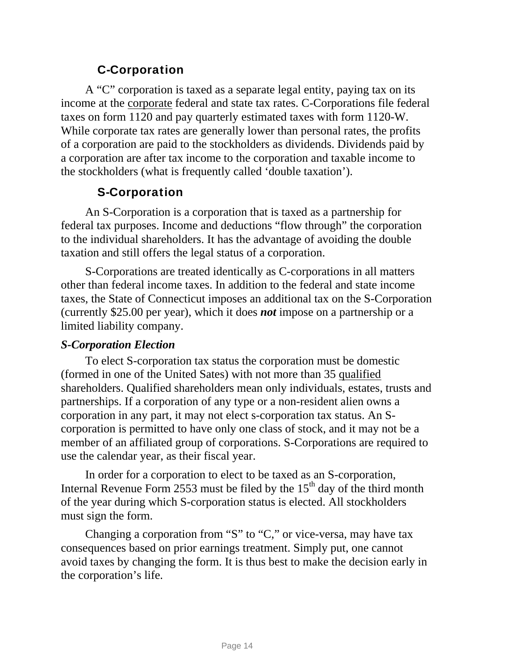## C-Corporation

<span id="page-16-0"></span>A "C" corporation is taxed as a separate legal entity, paying tax on its income at the corporate federal and state tax rates. C-Corporations file federal taxes on form 1120 and pay quarterly estimated taxes with form 1120-W. While corporate tax rates are generally lower than personal rates, the profits of a corporation are paid to the stockholders as dividends. Dividends paid by a corporation are after tax income to the corporation and taxable income to the stockholders (what is frequently called 'double taxation').

## S-Corporation

<span id="page-16-1"></span>An S-Corporation is a corporation that is taxed as a partnership for federal tax purposes. Income and deductions "flow through" the corporation to the individual shareholders. It has the advantage of avoiding the double taxation and still offers the legal status of a corporation.

S-Corporations are treated identically as C-corporations in all matters other than federal income taxes. In addition to the federal and state income taxes, the State of Connecticut imposes an additional tax on the S-Corporation (currently \$25.00 per year), which it does *not* impose on a partnership or a limited liability company.

#### *S-Corporation Election*

To elect S-corporation tax status the corporation must be domestic (formed in one of the United Sates) with not more than 35 qualified shareholders. Qualified shareholders mean only individuals, estates, trusts and partnerships. If a corporation of any type or a non-resident alien owns a corporation in any part, it may not elect s-corporation tax status. An Scorporation is permitted to have only one class of stock, and it may not be a member of an affiliated group of corporations. S-Corporations are required to use the calendar year, as their fiscal year.

In order for a corporation to elect to be taxed as an S-corporation, Internal Revenue Form 2553 must be filed by the  $15<sup>th</sup>$  day of the third month of the year during which S-corporation status is elected. All stockholders must sign the form.

Changing a corporation from "S" to "C," or vice-versa, may have tax consequences based on prior earnings treatment. Simply put, one cannot avoid taxes by changing the form. It is thus best to make the decision early in the corporation's life.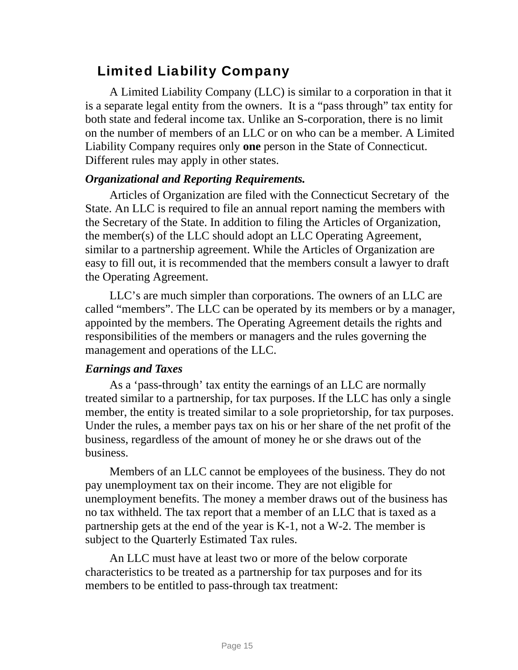## Limited Liability Company

<span id="page-17-0"></span>A Limited Liability Company (LLC) is similar to a corporation in that it is a separate legal entity from the owners. It is a "pass through" tax entity for both state and federal income tax. Unlike an S-corporation, there is no limit on the number of members of an LLC or on who can be a member. A Limited Liability Company requires only **one** person in the State of Connecticut. Different rules may apply in other states.

#### *Organizational and Reporting Requirements.*

Articles of Organization are filed with the Connecticut Secretary of the State. An LLC is required to file an annual report naming the members with the Secretary of the State. In addition to filing the Articles of Organization, the member(s) of the LLC should adopt an LLC Operating Agreement, similar to a partnership agreement. While the Articles of Organization are easy to fill out, it is recommended that the members consult a lawyer to draft the Operating Agreement.

LLC's are much simpler than corporations. The owners of an LLC are called "members". The LLC can be operated by its members or by a manager, appointed by the members. The Operating Agreement details the rights and responsibilities of the members or managers and the rules governing the management and operations of the LLC.

#### *Earnings and Taxes*

As a 'pass-through' tax entity the earnings of an LLC are normally treated similar to a partnership, for tax purposes. If the LLC has only a single member, the entity is treated similar to a sole proprietorship, for tax purposes. Under the rules, a member pays tax on his or her share of the net profit of the business, regardless of the amount of money he or she draws out of the business.

Members of an LLC cannot be employees of the business. They do not pay unemployment tax on their income. They are not eligible for unemployment benefits. The money a member draws out of the business has no tax withheld. The tax report that a member of an LLC that is taxed as a partnership gets at the end of the year is K-1, not a W-2. The member is subject to the Quarterly Estimated Tax rules.

An LLC must have at least two or more of the below corporate characteristics to be treated as a partnership for tax purposes and for its members to be entitled to pass-through tax treatment: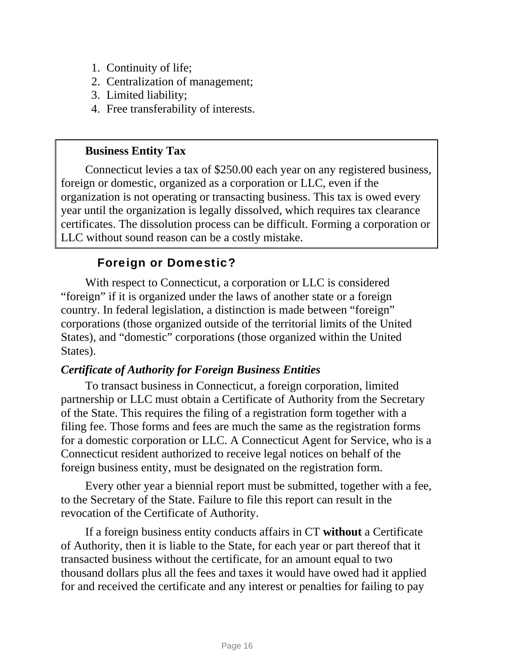- 1. Continuity of life;
- 2. Centralization of management;
- 3. Limited liability;
- 4. Free transferability of interests.

### **Business Entity Tax**

Connecticut levies a tax of \$250.00 each year on any registered business, foreign or domestic, organized as a corporation or LLC, even if the organization is not operating or transacting business. This tax is owed every year until the organization is legally dissolved, which requires tax clearance certificates. The dissolution process can be difficult. Forming a corporation or LLC without sound reason can be a costly mistake.

## Foreign or Domestic?

<span id="page-18-0"></span>With respect to Connecticut, a corporation or LLC is considered "foreign" if it is organized under the laws of another state or a foreign country. In federal legislation, a distinction is made between "foreign" corporations (those organized outside of the territorial limits of the United States), and "domestic" corporations (those organized within the United States).

#### *Certificate of Authority for Foreign Business Entities*

To transact business in Connecticut, a foreign corporation, limited partnership or LLC must obtain a Certificate of Authority from the Secretary of the State. This requires the filing of a registration form together with a filing fee. Those forms and fees are much the same as the registration forms for a domestic corporation or LLC. A Connecticut Agent for Service, who is a Connecticut resident authorized to receive legal notices on behalf of the foreign business entity, must be designated on the registration form.

Every other year a biennial report must be submitted, together with a fee, to the Secretary of the State. Failure to file this report can result in the revocation of the Certificate of Authority.

If a foreign business entity conducts affairs in CT **without** a Certificate of Authority, then it is liable to the State, for each year or part thereof that it transacted business without the certificate, for an amount equal to two thousand dollars plus all the fees and taxes it would have owed had it applied for and received the certificate and any interest or penalties for failing to pay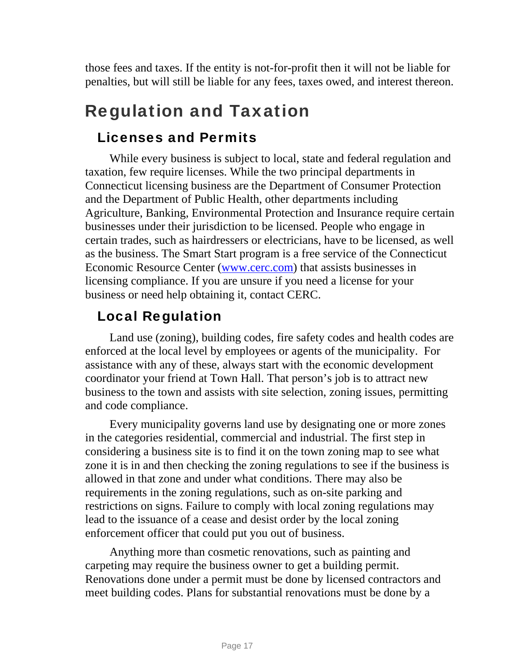those fees and taxes. If the entity is not-for-profit then it will not be liable for penalties, but will still be liable for any fees, taxes owed, and interest thereon.

# <span id="page-19-0"></span>Regulation and Taxation

## Licenses and Permits

<span id="page-19-1"></span>While every business is subject to local, state and federal regulation and taxation, few require licenses. While the two principal departments in Connecticut licensing business are the Department of Consumer Protection and the Department of Public Health, other departments including Agriculture, Banking, Environmental Protection and Insurance require certain businesses under their jurisdiction to be licensed. People who engage in certain trades, such as hairdressers or electricians, have to be licensed, as well as the business. The Smart Start program is a free service of the Connecticut Economic Resource Center [\(www.cerc.com\)](http://www.cerc.com/) that assists businesses in licensing compliance. If you are unsure if you need a license for your business or need help obtaining it, contact CERC.

## Local Regulation

<span id="page-19-2"></span>Land use (zoning), building codes, fire safety codes and health codes are enforced at the local level by employees or agents of the municipality. For assistance with any of these, always start with the economic development coordinator your friend at Town Hall. That person's job is to attract new business to the town and assists with site selection, zoning issues, permitting and code compliance.

Every municipality governs land use by designating one or more zones in the categories residential, commercial and industrial. The first step in considering a business site is to find it on the town zoning map to see what zone it is in and then checking the zoning regulations to see if the business is allowed in that zone and under what conditions. There may also be requirements in the zoning regulations, such as on-site parking and restrictions on signs. Failure to comply with local zoning regulations may lead to the issuance of a cease and desist order by the local zoning enforcement officer that could put you out of business.

Anything more than cosmetic renovations, such as painting and carpeting may require the business owner to get a building permit. Renovations done under a permit must be done by licensed contractors and meet building codes. Plans for substantial renovations must be done by a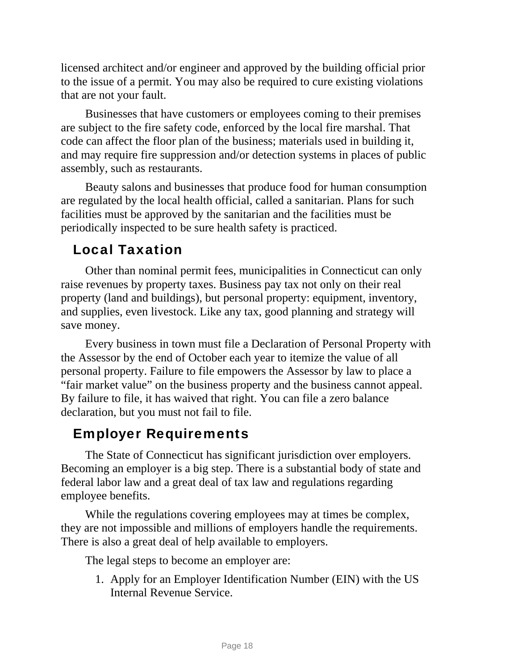licensed architect and/or engineer and approved by the building official prior to the issue of a permit. You may also be required to cure existing violations that are not your fault.

Businesses that have customers or employees coming to their premises are subject to the fire safety code, enforced by the local fire marshal. That code can affect the floor plan of the business; materials used in building it, and may require fire suppression and/or detection systems in places of public assembly, such as restaurants.

Beauty salons and businesses that produce food for human consumption are regulated by the local health official, called a sanitarian. Plans for such facilities must be approved by the sanitarian and the facilities must be periodically inspected to be sure health safety is practiced.

## Local Taxation

<span id="page-20-0"></span>Other than nominal permit fees, municipalities in Connecticut can only raise revenues by property taxes. Business pay tax not only on their real property (land and buildings), but personal property: equipment, inventory, and supplies, even livestock. Like any tax, good planning and strategy will save money.

Every business in town must file a Declaration of Personal Property with the Assessor by the end of October each year to itemize the value of all personal property. Failure to file empowers the Assessor by law to place a "fair market value" on the business property and the business cannot appeal. By failure to file, it has waived that right. You can file a zero balance declaration, but you must not fail to file.

## Employer Requirements

<span id="page-20-1"></span>The State of Connecticut has significant jurisdiction over employers. Becoming an employer is a big step. There is a substantial body of state and federal labor law and a great deal of tax law and regulations regarding employee benefits.

While the regulations covering employees may at times be complex, they are not impossible and millions of employers handle the requirements. There is also a great deal of help available to employers.

The legal steps to become an employer are:

1. Apply for an Employer Identification Number (EIN) with the US Internal Revenue Service.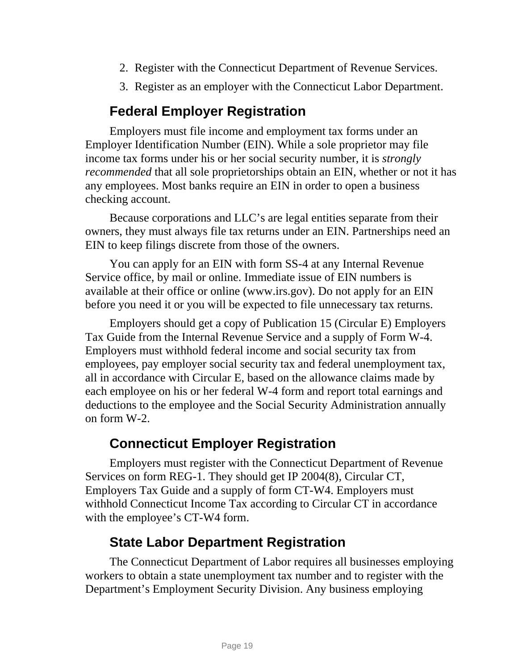- 2. Register with the Connecticut Department of Revenue Services.
- 3. Register as an employer with the Connecticut Labor Department.

## **Federal Employer Registration**

Employers must file income and employment tax forms under an Employer Identification Number (EIN). While a sole proprietor may file income tax forms under his or her social security number, it is *strongly recommended* that all sole proprietorships obtain an EIN, whether or not it has any employees. Most banks require an EIN in order to open a business checking account.

Because corporations and LLC's are legal entities separate from their owners, they must always file tax returns under an EIN. Partnerships need an EIN to keep filings discrete from those of the owners.

You can apply for an EIN with form SS-4 at any Internal Revenue Service office, by mail or online. Immediate issue of EIN numbers is available at their office or online (www.irs.gov). Do not apply for an EIN before you need it or you will be expected to file unnecessary tax returns.

Employers should get a copy of Publication 15 (Circular E) Employers Tax Guide from the Internal Revenue Service and a supply of Form W-4. Employers must withhold federal income and social security tax from employees, pay employer social security tax and federal unemployment tax, all in accordance with Circular E, based on the allowance claims made by each employee on his or her federal W-4 form and report total earnings and deductions to the employee and the Social Security Administration annually on form W-2.

## **Connecticut Employer Registration**

Employers must register with the Connecticut Department of Revenue Services on form REG-1. They should get IP 2004(8), Circular CT, Employers Tax Guide and a supply of form CT-W4. Employers must withhold Connecticut Income Tax according to Circular CT in accordance with the employee's CT-W4 form.

## **State Labor Department Registration**

The Connecticut Department of Labor requires all businesses employing workers to obtain a state unemployment tax number and to register with the Department's Employment Security Division. Any business employing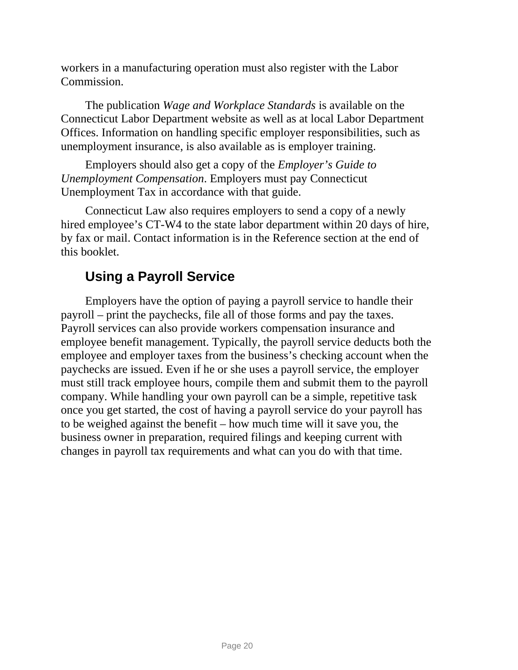workers in a manufacturing operation must also register with the Labor Commission.

The publication *Wage and Workplace Standards* is available on the Connecticut Labor Department website as well as at local Labor Department Offices. Information on handling specific employer responsibilities, such as unemployment insurance, is also available as is employer training.

Employers should also get a copy of the *Employer's Guide to Unemployment Compensation*. Employers must pay Connecticut Unemployment Tax in accordance with that guide.

Connecticut Law also requires employers to send a copy of a newly hired employee's CT-W4 to the state labor department within 20 days of hire, by fax or mail. Contact information is in the Reference section at the end of this booklet.

## **Using a Payroll Service**

Employers have the option of paying a payroll service to handle their payroll – print the paychecks, file all of those forms and pay the taxes. Payroll services can also provide workers compensation insurance and employee benefit management. Typically, the payroll service deducts both the employee and employer taxes from the business's checking account when the paychecks are issued. Even if he or she uses a payroll service, the employer must still track employee hours, compile them and submit them to the payroll company. While handling your own payroll can be a simple, repetitive task once you get started, the cost of having a payroll service do your payroll has to be weighed against the benefit – how much time will it save you, the business owner in preparation, required filings and keeping current with changes in payroll tax requirements and what can you do with that time.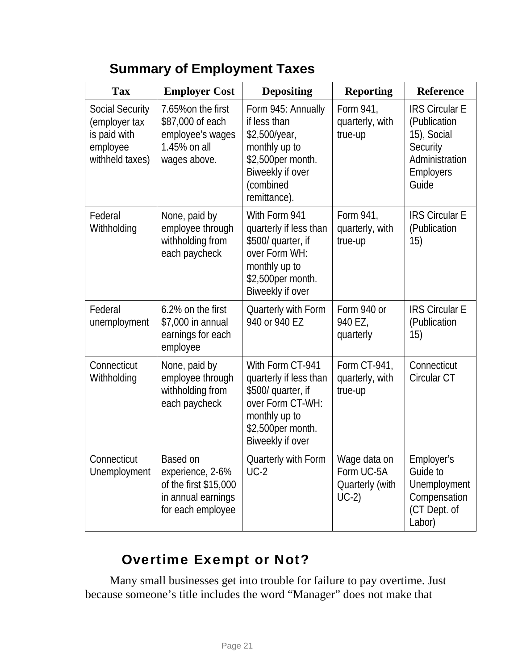# **Summary of Employment Taxes**

| <b>Tax</b>                                                                      | <b>Employer Cost</b>                                                                             | <b>Depositing</b>                                                                                                                                                                     | <b>Reporting</b>                                         | <b>Reference</b>                                                                                         |  |
|---------------------------------------------------------------------------------|--------------------------------------------------------------------------------------------------|---------------------------------------------------------------------------------------------------------------------------------------------------------------------------------------|----------------------------------------------------------|----------------------------------------------------------------------------------------------------------|--|
| Social Security<br>(employer tax<br>is paid with<br>employee<br>withheld taxes) | 7.65% on the first<br>\$87,000 of each<br>employee's wages<br>1.45% on all<br>wages above.       | Form 945: Annually<br>Form 941,<br>if less than<br>quarterly, with<br>\$2,500/year,<br>true-up<br>monthly up to<br>\$2,500per month.<br>Biweekly if over<br>(combined<br>remittance). |                                                          | <b>IRS Circular E</b><br>(Publication<br>15), Social<br>Security<br>Administration<br>Employers<br>Guide |  |
| Federal<br>Withholding                                                          | None, paid by<br>employee through<br>withholding from<br>each paycheck                           | With Form 941<br>quarterly if less than<br>\$500/ quarter, if<br>over Form WH:<br>monthly up to<br>\$2,500per month.<br>Biweekly if over                                              | Form 941,<br>quarterly, with<br>true-up                  | <b>IRS Circular E</b><br>(Publication<br>15)                                                             |  |
| Federal<br>unemployment                                                         | 6.2% on the first<br>\$7,000 in annual<br>earnings for each<br>employee                          | Quarterly with Form<br>940 or 940 EZ                                                                                                                                                  | Form 940 or<br>940 EZ,<br>quarterly                      | <b>IRS Circular E</b><br>(Publication<br>15)                                                             |  |
| Connecticut<br>Withholding                                                      | None, paid by<br>employee through<br>withholding from<br>each paycheck                           | With Form CT-941<br>quarterly if less than<br>\$500/ quarter, if<br>over Form CT-WH:<br>monthly up to<br>\$2,500per month.<br>Biweekly if over                                        | Form CT-941,<br>quarterly, with<br>true-up               | Connecticut<br>Circular CT                                                                               |  |
| Connecticut<br>Unemployment                                                     | Based on<br>experience, 2-6%<br>of the first \$15,000<br>in annual earnings<br>for each employee | Quarterly with Form<br>$UC-2$                                                                                                                                                         | Wage data on<br>Form UC-5A<br>Quarterly (with<br>$UC-2)$ | Employer's<br>Guide to<br>Unemployment<br>Compensation<br>(CT Dept. of<br>Labor)                         |  |

# Overtime Exempt or Not?

<span id="page-23-0"></span>Many small businesses get into trouble for failure to pay overtime. Just because someone's title includes the word "Manager" does not make that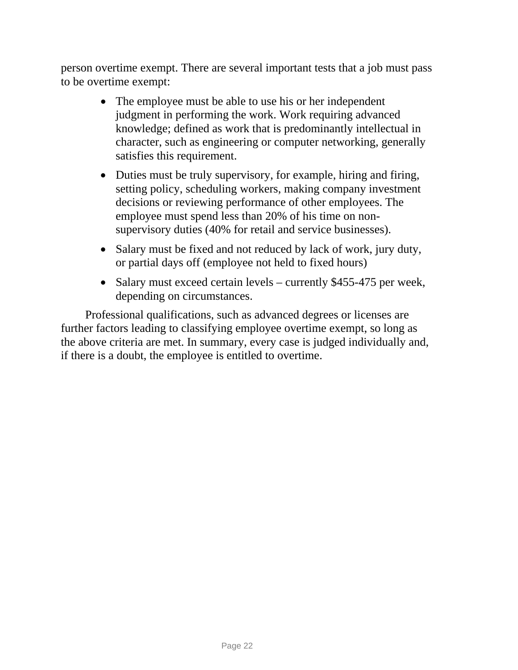person overtime exempt. There are several important tests that a job must pass to be overtime exempt:

- The employee must be able to use his or her independent judgment in performing the work. Work requiring advanced knowledge; defined as work that is predominantly intellectual in character, such as engineering or computer networking, generally satisfies this requirement.
- Duties must be truly supervisory, for example, hiring and firing, setting policy, scheduling workers, making company investment decisions or reviewing performance of other employees. The employee must spend less than 20% of his time on nonsupervisory duties (40% for retail and service businesses).
- Salary must be fixed and not reduced by lack of work, jury duty, or partial days off (employee not held to fixed hours)
- Salary must exceed certain levels currently \$455-475 per week, depending on circumstances.

Professional qualifications, such as advanced degrees or licenses are further factors leading to classifying employee overtime exempt, so long as the above criteria are met. In summary, every case is judged individually and, if there is a doubt, the employee is entitled to overtime.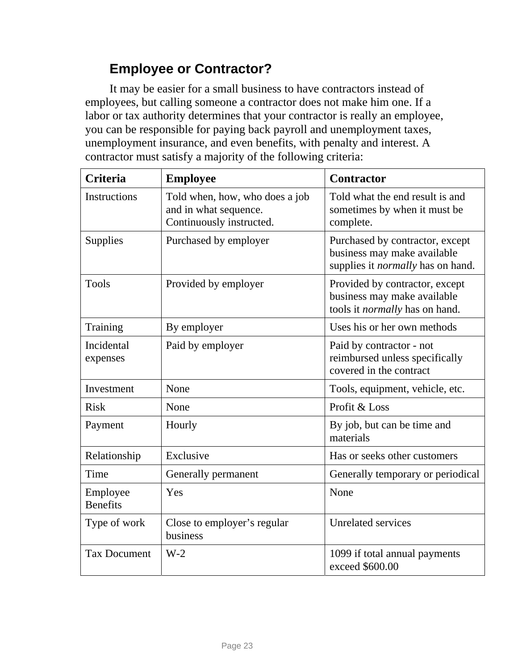# **Employee or Contractor?**

<span id="page-25-0"></span>It may be easier for a small business to have contractors instead of employees, but calling someone a contractor does not make him one. If a labor or tax authority determines that your contractor is really an employee, you can be responsible for paying back payroll and unemployment taxes, unemployment insurance, and even benefits, with penalty and interest. A contractor must satisfy a majority of the following criteria:

| <b>Criteria</b>             | <b>Employee</b>                                                                     | <b>Contractor</b>                                                                                          |  |  |  |
|-----------------------------|-------------------------------------------------------------------------------------|------------------------------------------------------------------------------------------------------------|--|--|--|
| <b>Instructions</b>         | Told when, how, who does a job<br>and in what sequence.<br>Continuously instructed. | Told what the end result is and<br>sometimes by when it must be<br>complete.                               |  |  |  |
| Supplies                    | Purchased by employer                                                               | Purchased by contractor, except<br>business may make available<br>supplies it <i>normally</i> has on hand. |  |  |  |
| <b>Tools</b>                | Provided by employer                                                                | Provided by contractor, except<br>business may make available<br>tools it normally has on hand.            |  |  |  |
| Training                    | By employer                                                                         | Uses his or her own methods                                                                                |  |  |  |
| Incidental<br>expenses      | Paid by employer                                                                    | Paid by contractor - not<br>reimbursed unless specifically<br>covered in the contract                      |  |  |  |
| Investment                  | None                                                                                | Tools, equipment, vehicle, etc.                                                                            |  |  |  |
| <b>Risk</b>                 | None                                                                                | Profit & Loss                                                                                              |  |  |  |
| Payment                     | Hourly                                                                              | By job, but can be time and<br>materials                                                                   |  |  |  |
| Relationship                | Exclusive                                                                           | Has or seeks other customers                                                                               |  |  |  |
| Time                        | Generally permanent                                                                 | Generally temporary or periodical                                                                          |  |  |  |
| Employee<br><b>Benefits</b> | Yes                                                                                 | None                                                                                                       |  |  |  |
| Type of work                | Close to employer's regular<br>business                                             | <b>Unrelated services</b>                                                                                  |  |  |  |
| <b>Tax Document</b>         | $W-2$                                                                               | 1099 if total annual payments<br>exceed \$600.00                                                           |  |  |  |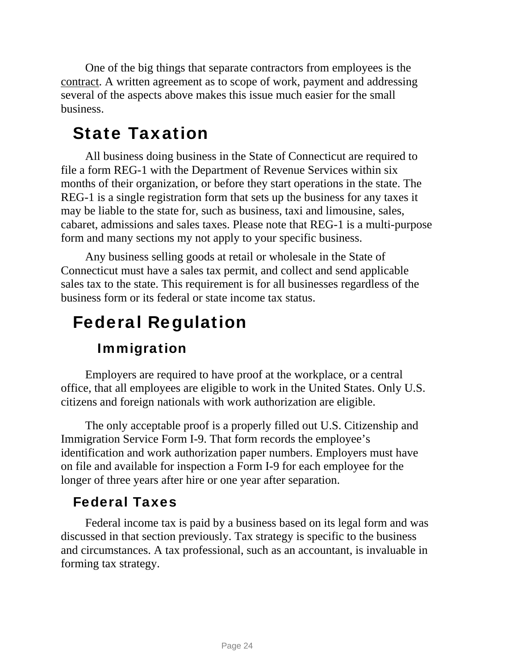One of the big things that separate contractors from employees is the contract. A written agreement as to scope of work, payment and addressing several of the aspects above makes this issue much easier for the small business.

# State Taxation

<span id="page-26-0"></span>All business doing business in the State of Connecticut are required to file a form REG-1 with the Department of Revenue Services within six months of their organization, or before they start operations in the state. The REG-1 is a single registration form that sets up the business for any taxes it may be liable to the state for, such as business, taxi and limousine, sales, cabaret, admissions and sales taxes. Please note that REG-1 is a multi-purpose form and many sections my not apply to your specific business.

Any business selling goods at retail or wholesale in the State of Connecticut must have a sales tax permit, and collect and send applicable sales tax to the state. This requirement is for all businesses regardless of the business form or its federal or state income tax status.

# <span id="page-26-1"></span>Federal Regulation

# Immigration

<span id="page-26-2"></span>Employers are required to have proof at the workplace, or a central office, that all employees are eligible to work in the United States. Only U.S. citizens and foreign nationals with work authorization are eligible.

The only acceptable proof is a properly filled out U.S. Citizenship and Immigration Service Form I-9. That form records the employee's identification and work authorization paper numbers. Employers must have on file and available for inspection a Form I-9 for each employee for the longer of three years after hire or one year after separation.

## Federal Taxes

<span id="page-26-3"></span>Federal income tax is paid by a business based on its legal form and was discussed in that section previously. Tax strategy is specific to the business and circumstances. A tax professional, such as an accountant, is invaluable in forming tax strategy.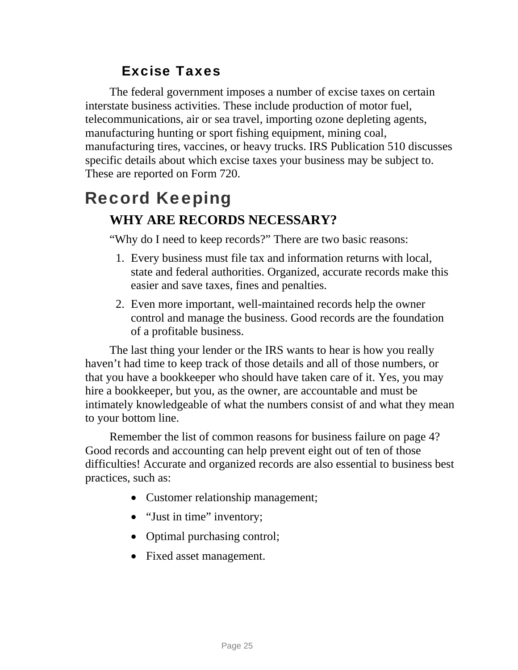# Excise Taxes

<span id="page-27-0"></span>The federal government imposes a number of excise taxes on certain interstate business activities. These include production of motor fuel, telecommunications, air or sea travel, importing ozone depleting agents, manufacturing hunting or sport fishing equipment, mining coal, manufacturing tires, vaccines, or heavy trucks. IRS Publication 510 discusses specific details about which excise taxes your business may be subject to. These are reported on Form 720.

# <span id="page-27-1"></span>Record Keeping **WHY ARE RECORDS NECESSARY?**

"Why do I need to keep records?" There are two basic reasons:

- 1. Every business must file tax and information returns with local, state and federal authorities. Organized, accurate records make this easier and save taxes, fines and penalties.
- 2. Even more important, well-maintained records help the owner control and manage the business. Good records are the foundation of a profitable business.

The last thing your lender or the IRS wants to hear is how you really haven't had time to keep track of those details and all of those numbers, or that you have a bookkeeper who should have taken care of it. Yes, you may hire a bookkeeper, but you, as the owner, are accountable and must be intimately knowledgeable of what the numbers consist of and what they mean to your bottom line.

Remember the list of common reasons for business failure on page 4? Good records and accounting can help prevent eight out of ten of those difficulties! Accurate and organized records are also essential to business best practices, such as:

- Customer relationship management;
- "Just in time" inventory;
- Optimal purchasing control;
- Fixed asset management.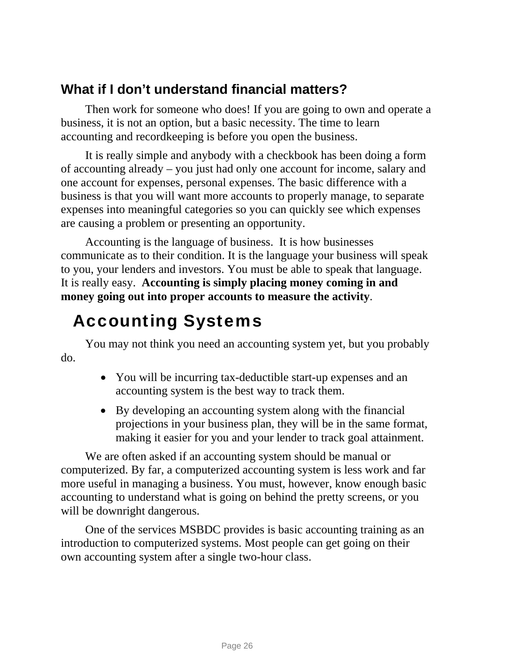## **What if I don't understand financial matters?**

Then work for someone who does! If you are going to own and operate a business, it is not an option, but a basic necessity. The time to learn accounting and recordkeeping is before you open the business.

It is really simple and anybody with a checkbook has been doing a form of accounting already – you just had only one account for income, salary and one account for expenses, personal expenses. The basic difference with a business is that you will want more accounts to properly manage, to separate expenses into meaningful categories so you can quickly see which expenses are causing a problem or presenting an opportunity.

Accounting is the language of business. It is how businesses communicate as to their condition. It is the language your business will speak to you, your lenders and investors. You must be able to speak that language. It is really easy. **Accounting is simply placing money coming in and money going out into proper accounts to measure the activity**.

# Accounting Systems

<span id="page-28-0"></span>You may not think you need an accounting system yet, but you probably do.

- You will be incurring tax-deductible start-up expenses and an accounting system is the best way to track them.
- By developing an accounting system along with the financial projections in your business plan, they will be in the same format, making it easier for you and your lender to track goal attainment.

We are often asked if an accounting system should be manual or computerized. By far, a computerized accounting system is less work and far more useful in managing a business. You must, however, know enough basic accounting to understand what is going on behind the pretty screens, or you will be downright dangerous.

One of the services MSBDC provides is basic accounting training as an introduction to computerized systems. Most people can get going on their own accounting system after a single two-hour class.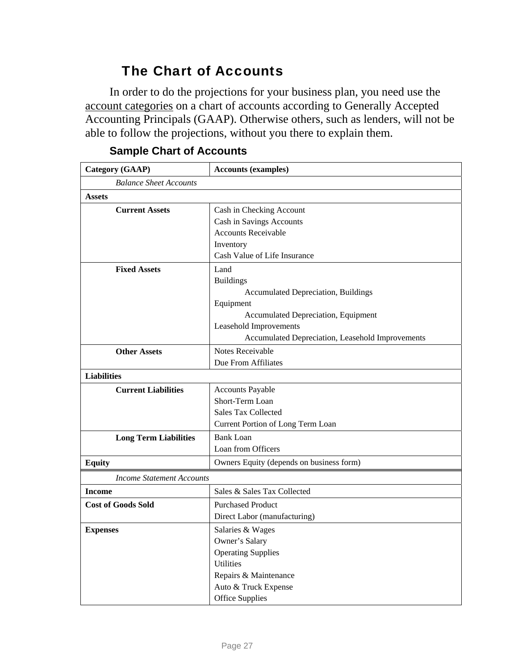## The Chart of Accounts

<span id="page-29-0"></span>In order to do the projections for your business plan, you need use the account categories on a chart of accounts according to Generally Accepted Accounting Principals (GAAP). Otherwise others, such as lenders, will not be able to follow the projections, without you there to explain them.

| <b>Category (GAAP)</b>           | <b>Accounts (examples)</b>                       |  |  |  |  |
|----------------------------------|--------------------------------------------------|--|--|--|--|
| <b>Balance Sheet Accounts</b>    |                                                  |  |  |  |  |
| Assets                           |                                                  |  |  |  |  |
| <b>Current Assets</b>            | Cash in Checking Account                         |  |  |  |  |
|                                  | Cash in Savings Accounts                         |  |  |  |  |
|                                  | <b>Accounts Receivable</b>                       |  |  |  |  |
|                                  | Inventory                                        |  |  |  |  |
|                                  | Cash Value of Life Insurance                     |  |  |  |  |
| <b>Fixed Assets</b>              | Land                                             |  |  |  |  |
|                                  | <b>Buildings</b>                                 |  |  |  |  |
|                                  | <b>Accumulated Depreciation, Buildings</b>       |  |  |  |  |
|                                  | Equipment                                        |  |  |  |  |
|                                  | Accumulated Depreciation, Equipment              |  |  |  |  |
|                                  | Leasehold Improvements                           |  |  |  |  |
|                                  | Accumulated Depreciation, Leasehold Improvements |  |  |  |  |
| <b>Other Assets</b>              | Notes Receivable                                 |  |  |  |  |
|                                  | Due From Affiliates                              |  |  |  |  |
| <b>Liabilities</b>               |                                                  |  |  |  |  |
| <b>Current Liabilities</b>       | <b>Accounts Payable</b>                          |  |  |  |  |
|                                  | Short-Term Loan                                  |  |  |  |  |
|                                  | <b>Sales Tax Collected</b>                       |  |  |  |  |
|                                  | Current Portion of Long Term Loan                |  |  |  |  |
| <b>Long Term Liabilities</b>     | Bank Loan                                        |  |  |  |  |
|                                  | Loan from Officers                               |  |  |  |  |
| <b>Equity</b>                    | Owners Equity (depends on business form)         |  |  |  |  |
| <b>Income Statement Accounts</b> |                                                  |  |  |  |  |
| <b>Income</b>                    | Sales & Sales Tax Collected                      |  |  |  |  |
| <b>Cost of Goods Sold</b>        | <b>Purchased Product</b>                         |  |  |  |  |
|                                  | Direct Labor (manufacturing)                     |  |  |  |  |
| <b>Expenses</b>                  | Salaries & Wages                                 |  |  |  |  |
|                                  | Owner's Salary                                   |  |  |  |  |
|                                  | <b>Operating Supplies</b>                        |  |  |  |  |
|                                  | <b>Utilities</b>                                 |  |  |  |  |
|                                  | Repairs & Maintenance                            |  |  |  |  |
|                                  | Auto & Truck Expense                             |  |  |  |  |
|                                  | <b>Office Supplies</b>                           |  |  |  |  |

#### **Sample Chart of Accounts**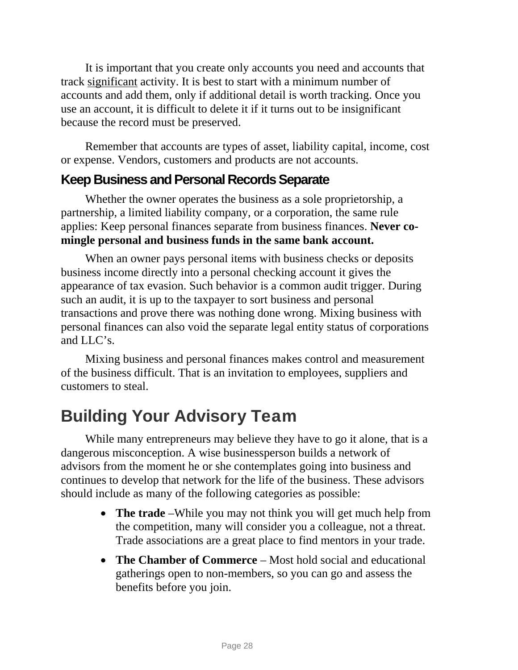It is important that you create only accounts you need and accounts that track significant activity. It is best to start with a minimum number of accounts and add them, only if additional detail is worth tracking. Once you use an account, it is difficult to delete it if it turns out to be insignificant because the record must be preserved.

Remember that accounts are types of asset, liability capital, income, cost or expense. Vendors, customers and products are not accounts.

## **Keep Business and Personal Records Separate**

Whether the owner operates the business as a sole proprietorship, a partnership, a limited liability company, or a corporation, the same rule applies: Keep personal finances separate from business finances. **Never comingle personal and business funds in the same bank account.** 

When an owner pays personal items with business checks or deposits business income directly into a personal checking account it gives the appearance of tax evasion. Such behavior is a common audit trigger. During such an audit, it is up to the taxpayer to sort business and personal transactions and prove there was nothing done wrong. Mixing business with personal finances can also void the separate legal entity status of corporations and LLC's.

Mixing business and personal finances makes control and measurement of the business difficult. That is an invitation to employees, suppliers and customers to steal.

# <span id="page-30-0"></span>Building Your Advisory Team

While many entrepreneurs may believe they have to go it alone, that is a dangerous misconception. A wise businessperson builds a network of advisors from the moment he or she contemplates going into business and continues to develop that network for the life of the business. These advisors should include as many of the following categories as possible:

- **The trade** –While you may not think you will get much help from the competition, many will consider you a colleague, not a threat. Trade associations are a great place to find mentors in your trade.
- **The Chamber of Commerce** Most hold social and educational gatherings open to non-members, so you can go and assess the benefits before you join.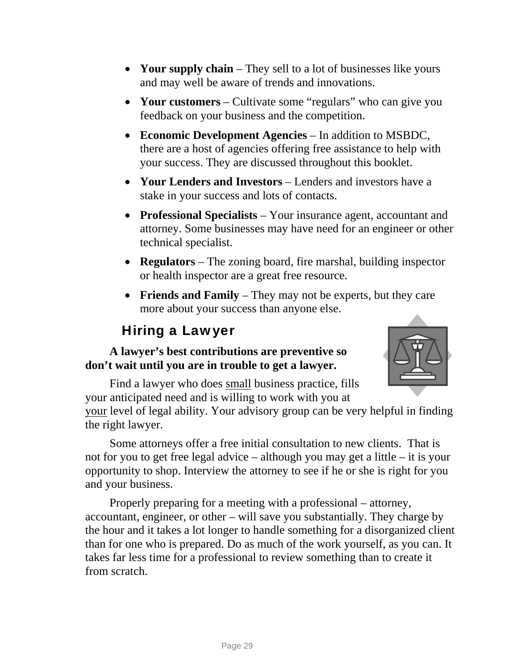- **Your supply chain** They sell to a lot of businesses like yours and may well be aware of trends and innovations.
- **Your customers** Cultivate some "regulars" who can give you feedback on your business and the competition.
- **Economic Development Agencies** In addition to MSBDC, there are a host of agencies offering free assistance to help with your success. They are discussed throughout this booklet.
- **Your Lenders and Investors** Lenders and investors have a stake in your success and lots of contacts.
- **Professional Specialists** Your insurance agent, accountant and attorney. Some businesses may have need for an engineer or other technical specialist.
- **Regulators** The zoning board, fire marshal, building inspector or health inspector are a great free resource.
- **Friends and Family**  They may not be experts, but they care more about your success than anyone else.

# Hiring a Lawyer

### <span id="page-31-0"></span>**A lawyer's best contributions are preventive so don't wait until you are in trouble to get a lawyer.**



Find a lawyer who does small business practice, fills your anticipated need and is willing to work with you at

your level of legal ability. Your advisory group can be very helpful in finding the right lawyer.

Some attorneys offer a free initial consultation to new clients. That is not for you to get free legal advice – although you may get a little – it is your opportunity to shop. Interview the attorney to see if he or she is right for you and your business.

Properly preparing for a meeting with a professional – attorney, accountant, engineer, or other – will save you substantially. They charge by the hour and it takes a lot longer to handle something for a disorganized client than for one who is prepared. Do as much of the work yourself, as you can. It takes far less time for a professional to review something than to create it from scratch.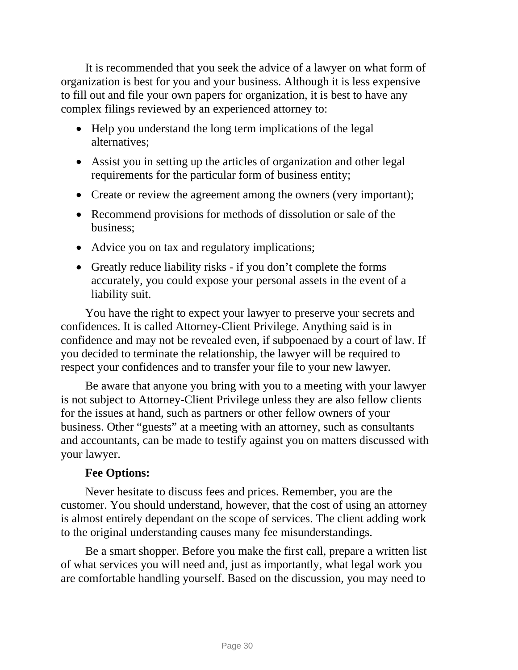It is recommended that you seek the advice of a lawyer on what form of organization is best for you and your business. Although it is less expensive to fill out and file your own papers for organization, it is best to have any complex filings reviewed by an experienced attorney to:

- Help you understand the long term implications of the legal alternatives;
- Assist you in setting up the articles of organization and other legal requirements for the particular form of business entity;
- Create or review the agreement among the owners (very important);
- Recommend provisions for methods of dissolution or sale of the business;
- Advice you on tax and regulatory implications;
- Greatly reduce liability risks if you don't complete the forms accurately, you could expose your personal assets in the event of a liability suit.

You have the right to expect your lawyer to preserve your secrets and confidences. It is called Attorney-Client Privilege. Anything said is in confidence and may not be revealed even, if subpoenaed by a court of law. If you decided to terminate the relationship, the lawyer will be required to respect your confidences and to transfer your file to your new lawyer.

Be aware that anyone you bring with you to a meeting with your lawyer is not subject to Attorney-Client Privilege unless they are also fellow clients for the issues at hand, such as partners or other fellow owners of your business. Other "guests" at a meeting with an attorney, such as consultants and accountants, can be made to testify against you on matters discussed with your lawyer.

### **Fee Options:**

Never hesitate to discuss fees and prices. Remember, you are the customer. You should understand, however, that the cost of using an attorney is almost entirely dependant on the scope of services. The client adding work to the original understanding causes many fee misunderstandings.

Be a smart shopper. Before you make the first call, prepare a written list of what services you will need and, just as importantly, what legal work you are comfortable handling yourself. Based on the discussion, you may need to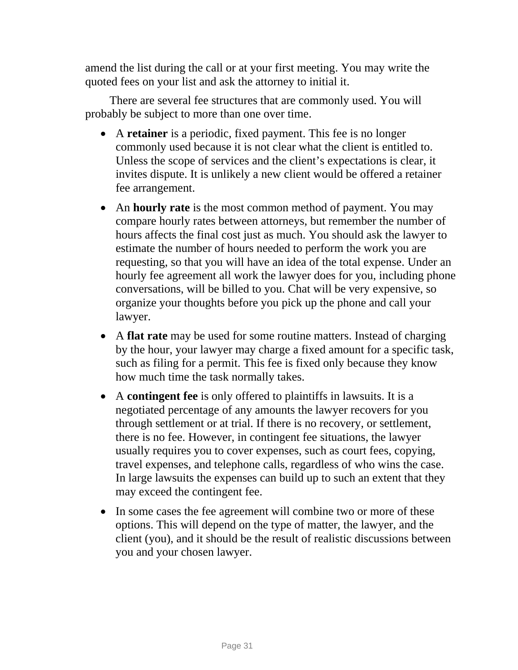amend the list during the call or at your first meeting. You may write the quoted fees on your list and ask the attorney to initial it.

There are several fee structures that are commonly used. You will probably be subject to more than one over time.

- A **retainer** is a periodic, fixed payment. This fee is no longer commonly used because it is not clear what the client is entitled to. Unless the scope of services and the client's expectations is clear, it invites dispute. It is unlikely a new client would be offered a retainer fee arrangement.
- An **hourly rate** is the most common method of payment. You may compare hourly rates between attorneys, but remember the number of hours affects the final cost just as much. You should ask the lawyer to estimate the number of hours needed to perform the work you are requesting, so that you will have an idea of the total expense. Under an hourly fee agreement all work the lawyer does for you, including phone conversations, will be billed to you. Chat will be very expensive, so organize your thoughts before you pick up the phone and call your lawyer.
- A **flat rate** may be used for some routine matters. Instead of charging by the hour, your lawyer may charge a fixed amount for a specific task, such as filing for a permit. This fee is fixed only because they know how much time the task normally takes.
- A **contingent fee** is only offered to plaintiffs in lawsuits. It is a negotiated percentage of any amounts the lawyer recovers for you through settlement or at trial. If there is no recovery, or settlement, there is no fee. However, in contingent fee situations, the lawyer usually requires you to cover expenses, such as court fees, copying, travel expenses, and telephone calls, regardless of who wins the case. In large lawsuits the expenses can build up to such an extent that they may exceed the contingent fee.
- In some cases the fee agreement will combine two or more of these options. This will depend on the type of matter, the lawyer, and the client (you), and it should be the result of realistic discussions between you and your chosen lawyer.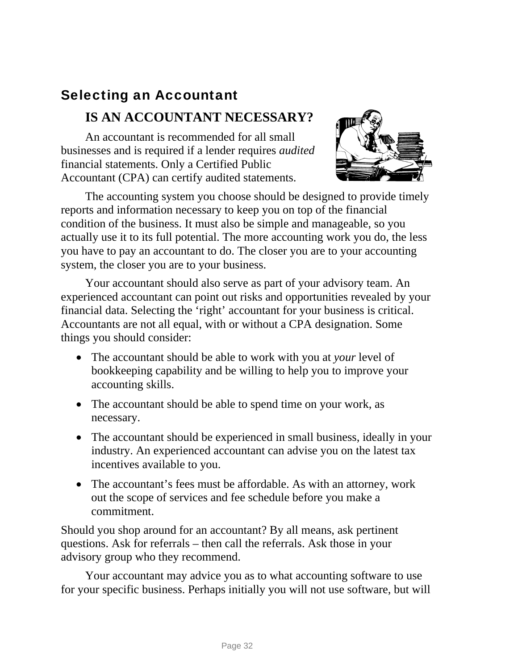# <span id="page-34-0"></span>Selecting an Accountant

## **IS AN ACCOUNTANT NECESSARY?**

An accountant is recommended for all small businesses and is required if a lender requires *audited* financial statements. Only a Certified Public Accountant (CPA) can certify audited statements.



The accounting system you choose should be designed to provide timely reports and information necessary to keep you on top of the financial condition of the business. It must also be simple and manageable, so you actually use it to its full potential. The more accounting work you do, the less you have to pay an accountant to do. The closer you are to your accounting system, the closer you are to your business.

Your accountant should also serve as part of your advisory team. An experienced accountant can point out risks and opportunities revealed by your financial data. Selecting the 'right' accountant for your business is critical. Accountants are not all equal, with or without a CPA designation. Some things you should consider:

- The accountant should be able to work with you at *your* level of bookkeeping capability and be willing to help you to improve your accounting skills.
- The accountant should be able to spend time on your work, as necessary.
- The accountant should be experienced in small business, ideally in your industry. An experienced accountant can advise you on the latest tax incentives available to you.
- The accountant's fees must be affordable. As with an attorney, work out the scope of services and fee schedule before you make a commitment.

Should you shop around for an accountant? By all means, ask pertinent questions. Ask for referrals – then call the referrals. Ask those in your advisory group who they recommend.

Your accountant may advice you as to what accounting software to use for your specific business. Perhaps initially you will not use software, but will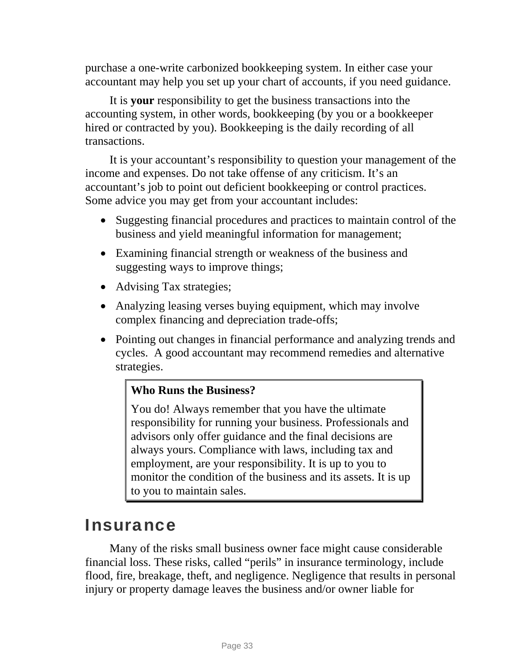purchase a one-write carbonized bookkeeping system. In either case your accountant may help you set up your chart of accounts, if you need guidance.

It is **your** responsibility to get the business transactions into the accounting system, in other words, bookkeeping (by you or a bookkeeper hired or contracted by you). Bookkeeping is the daily recording of all transactions.

It is your accountant's responsibility to question your management of the income and expenses. Do not take offense of any criticism. It's an accountant's job to point out deficient bookkeeping or control practices. Some advice you may get from your accountant includes:

- Suggesting financial procedures and practices to maintain control of the business and yield meaningful information for management;
- Examining financial strength or weakness of the business and suggesting ways to improve things;
- Advising Tax strategies;
- Analyzing leasing verses buying equipment, which may involve complex financing and depreciation trade-offs;
- Pointing out changes in financial performance and analyzing trends and cycles. A good accountant may recommend remedies and alternative strategies.

## **Who Runs the Business?**

You do! Always remember that you have the ultimate responsibility for running your business. Professionals and advisors only offer guidance and the final decisions are always yours. Compliance with laws, including tax and employment, are your responsibility. It is up to you to monitor the condition of the business and its assets. It is up to you to maintain sales.

# <span id="page-35-0"></span>Insurance

Many of the risks small business owner face might cause considerable financial loss. These risks, called "perils" in insurance terminology, include flood, fire, breakage, theft, and negligence. Negligence that results in personal injury or property damage leaves the business and/or owner liable for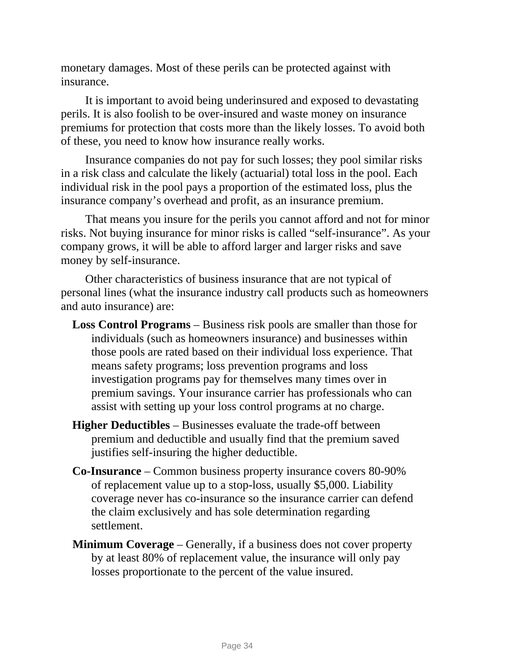monetary damages. Most of these perils can be protected against with insurance.

It is important to avoid being underinsured and exposed to devastating perils. It is also foolish to be over-insured and waste money on insurance premiums for protection that costs more than the likely losses. To avoid both of these, you need to know how insurance really works.

Insurance companies do not pay for such losses; they pool similar risks in a risk class and calculate the likely (actuarial) total loss in the pool. Each individual risk in the pool pays a proportion of the estimated loss, plus the insurance company's overhead and profit, as an insurance premium.

That means you insure for the perils you cannot afford and not for minor risks. Not buying insurance for minor risks is called "self-insurance". As your company grows, it will be able to afford larger and larger risks and save money by self-insurance.

Other characteristics of business insurance that are not typical of personal lines (what the insurance industry call products such as homeowners and auto insurance) are:

- **Loss Control Programs**  Business risk pools are smaller than those for individuals (such as homeowners insurance) and businesses within those pools are rated based on their individual loss experience. That means safety programs; loss prevention programs and loss investigation programs pay for themselves many times over in premium savings. Your insurance carrier has professionals who can assist with setting up your loss control programs at no charge.
- **Higher Deductibles** Businesses evaluate the trade-off between premium and deductible and usually find that the premium saved justifies self-insuring the higher deductible.
- **Co-Insurance** Common business property insurance covers 80-90% of replacement value up to a stop-loss, usually \$5,000. Liability coverage never has co-insurance so the insurance carrier can defend the claim exclusively and has sole determination regarding settlement.
- **Minimum Coverage** Generally, if a business does not cover property by at least 80% of replacement value, the insurance will only pay losses proportionate to the percent of the value insured.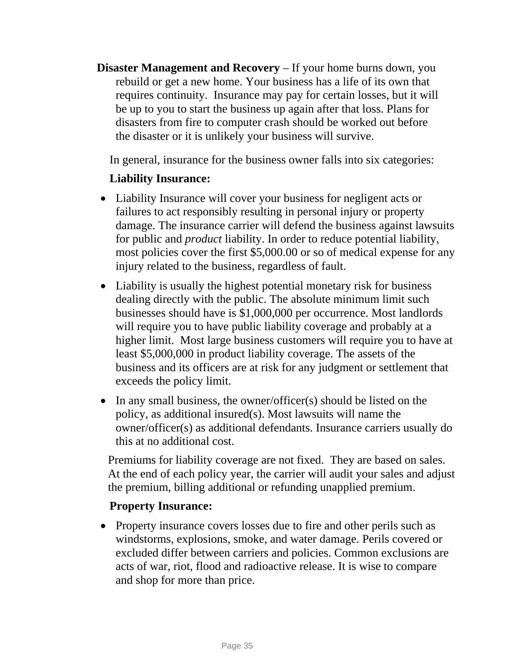**Disaster Management and Recovery** – If your home burns down, you rebuild or get a new home. Your business has a life of its own that requires continuity. Insurance may pay for certain losses, but it will be up to you to start the business up again after that loss. Plans for disasters from fire to computer crash should be worked out before the disaster or it is unlikely your business will survive.

In general, insurance for the business owner falls into six categories:

### **Liability Insurance:**

- Liability Insurance will cover your business for negligent acts or failures to act responsibly resulting in personal injury or property damage. The insurance carrier will defend the business against lawsuits for public and *product* liability. In order to reduce potential liability, most policies cover the first \$5,000.00 or so of medical expense for any injury related to the business, regardless of fault.
- Liability is usually the highest potential monetary risk for business dealing directly with the public. The absolute minimum limit such businesses should have is \$1,000,000 per occurrence. Most landlords will require you to have public liability coverage and probably at a higher limit. Most large business customers will require you to have at least \$5,000,000 in product liability coverage. The assets of the business and its officers are at risk for any judgment or settlement that exceeds the policy limit.
- In any small business, the owner/officer(s) should be listed on the policy, as additional insured(s). Most lawsuits will name the owner/officer(s) as additional defendants. Insurance carriers usually do this at no additional cost.

Premiums for liability coverage are not fixed. They are based on sales. At the end of each policy year, the carrier will audit your sales and adjust the premium, billing additional or refunding unapplied premium.

### **Property Insurance:**

• Property insurance covers losses due to fire and other perils such as windstorms, explosions, smoke, and water damage. Perils covered or excluded differ between carriers and policies. Common exclusions are acts of war, riot, flood and radioactive release. It is wise to compare and shop for more than price.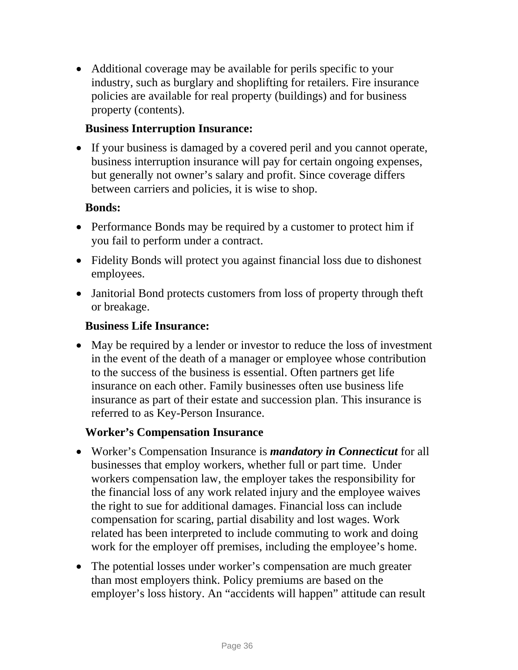• Additional coverage may be available for perils specific to your industry, such as burglary and shoplifting for retailers. Fire insurance policies are available for real property (buildings) and for business property (contents).

### **Business Interruption Insurance:**

• If your business is damaged by a covered peril and you cannot operate, business interruption insurance will pay for certain ongoing expenses, but generally not owner's salary and profit. Since coverage differs between carriers and policies, it is wise to shop.

### **Bonds:**

- Performance Bonds may be required by a customer to protect him if you fail to perform under a contract.
- Fidelity Bonds will protect you against financial loss due to dishonest employees.
- Janitorial Bond protects customers from loss of property through theft or breakage.

#### **Business Life Insurance:**

• May be required by a lender or investor to reduce the loss of investment in the event of the death of a manager or employee whose contribution to the success of the business is essential. Often partners get life insurance on each other. Family businesses often use business life insurance as part of their estate and succession plan. This insurance is referred to as Key-Person Insurance.

#### **Worker's Compensation Insurance**

- Worker's Compensation Insurance is *mandatory in Connecticut* for all businesses that employ workers, whether full or part time. Under workers compensation law, the employer takes the responsibility for the financial loss of any work related injury and the employee waives the right to sue for additional damages. Financial loss can include compensation for scaring, partial disability and lost wages. Work related has been interpreted to include commuting to work and doing work for the employer off premises, including the employee's home.
- The potential losses under worker's compensation are much greater than most employers think. Policy premiums are based on the employer's loss history. An "accidents will happen" attitude can result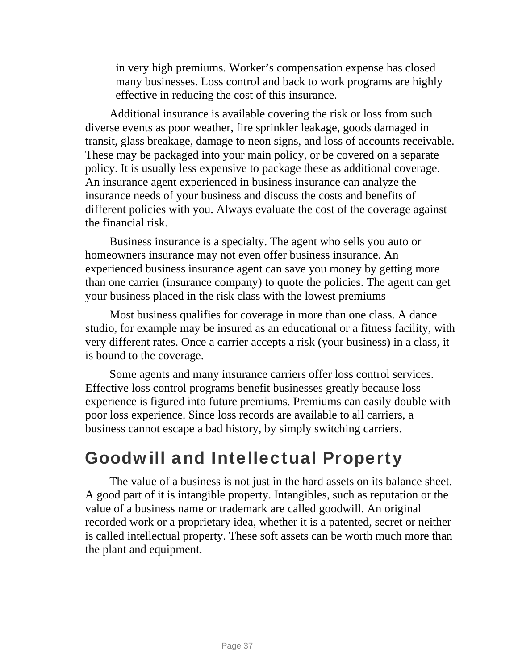in very high premiums. Worker's compensation expense has closed many businesses. Loss control and back to work programs are highly effective in reducing the cost of this insurance.

Additional insurance is available covering the risk or loss from such diverse events as poor weather, fire sprinkler leakage, goods damaged in transit, glass breakage, damage to neon signs, and loss of accounts receivable. These may be packaged into your main policy, or be covered on a separate policy. It is usually less expensive to package these as additional coverage. An insurance agent experienced in business insurance can analyze the insurance needs of your business and discuss the costs and benefits of different policies with you. Always evaluate the cost of the coverage against the financial risk.

Business insurance is a specialty. The agent who sells you auto or homeowners insurance may not even offer business insurance. An experienced business insurance agent can save you money by getting more than one carrier (insurance company) to quote the policies. The agent can get your business placed in the risk class with the lowest premiums

Most business qualifies for coverage in more than one class. A dance studio, for example may be insured as an educational or a fitness facility, with very different rates. Once a carrier accepts a risk (your business) in a class, it is bound to the coverage.

Some agents and many insurance carriers offer loss control services. Effective loss control programs benefit businesses greatly because loss experience is figured into future premiums. Premiums can easily double with poor loss experience. Since loss records are available to all carriers, a business cannot escape a bad history, by simply switching carriers.

# Goodwill and Intellectual Property

The value of a business is not just in the hard assets on its balance sheet. A good part of it is intangible property. Intangibles, such as reputation or the value of a business name or trademark are called goodwill. An original recorded work or a proprietary idea, whether it is a patented, secret or neither is called intellectual property. These soft assets can be worth much more than the plant and equipment.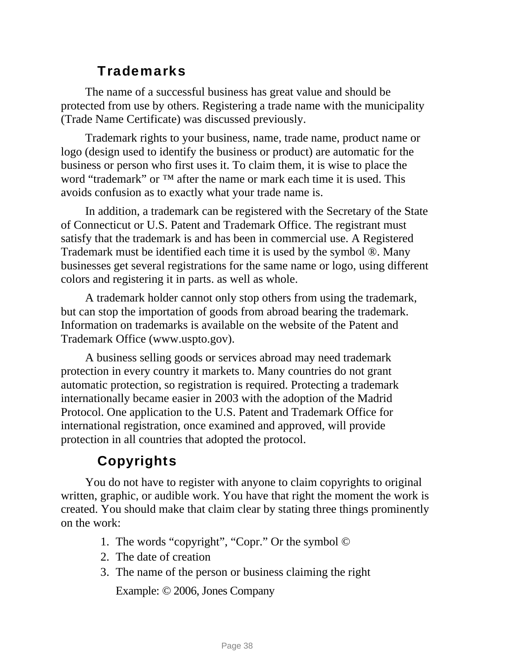### **Trademarks**

The name of a successful business has great value and should be protected from use by others. Registering a trade name with the municipality (Trade Name Certificate) was discussed previously.

Trademark rights to your business, name, trade name, product name or logo (design used to identify the business or product) are automatic for the business or person who first uses it. To claim them, it is wise to place the word "trademark" or ™ after the name or mark each time it is used. This avoids confusion as to exactly what your trade name is.

In addition, a trademark can be registered with the Secretary of the State of Connecticut or U.S. Patent and Trademark Office. The registrant must satisfy that the trademark is and has been in commercial use. A Registered Trademark must be identified each time it is used by the symbol ®. Many businesses get several registrations for the same name or logo, using different colors and registering it in parts. as well as whole.

A trademark holder cannot only stop others from using the trademark, but can stop the importation of goods from abroad bearing the trademark. Information on trademarks is available on the website of the Patent and Trademark Office ([www.uspto.gov](http://www.uspto.gov/)).

A business selling goods or services abroad may need trademark protection in every country it markets to. Many countries do not grant automatic protection, so registration is required. Protecting a trademark internationally became easier in 2003 with the adoption of the Madrid Protocol. One application to the U.S. Patent and Trademark Office for international registration, once examined and approved, will provide protection in all countries that adopted the protocol.

### Copyrights

You do not have to register with anyone to claim copyrights to original written, graphic, or audible work. You have that right the moment the work is created. You should make that claim clear by stating three things prominently on the work:

- 1. The words "copyright", "Copr." Or the symbol ©
- 2. The date of creation
- 3. The name of the person or business claiming the right

Example: © 2006, Jones Company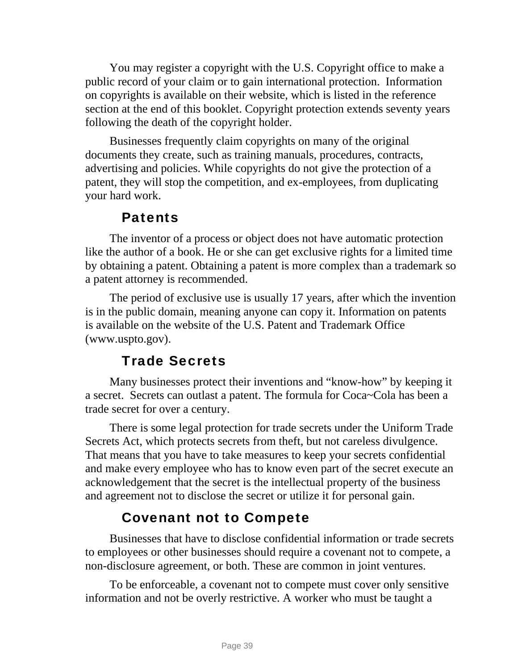You may register a copyright with the U.S. Copyright office to make a public record of your claim or to gain international protection. Information on copyrights is available on their website, which is listed in the reference section at the end of this booklet. Copyright protection extends seventy years following the death of the copyright holder.

Businesses frequently claim copyrights on many of the original documents they create, such as training manuals, procedures, contracts, advertising and policies. While copyrights do not give the protection of a patent, they will stop the competition, and ex-employees, from duplicating your hard work.

### **Patents**

The inventor of a process or object does not have automatic protection like the author of a book. He or she can get exclusive rights for a limited time by obtaining a patent. Obtaining a patent is more complex than a trademark so a patent attorney is recommended.

The period of exclusive use is usually 17 years, after which the invention is in the public domain, meaning anyone can copy it. Information on patents is available on the website of the U.S. Patent and Trademark Office [\(www.uspto.gov](http://www.uspto.gov/)).

### Trade Secrets

Many businesses protect their inventions and "know-how" by keeping it a secret. Secrets can outlast a patent. The formula for Coca~Cola has been a trade secret for over a century.

There is some legal protection for trade secrets under the Uniform Trade Secrets Act, which protects secrets from theft, but not careless divulgence. That means that you have to take measures to keep your secrets confidential and make every employee who has to know even part of the secret execute an acknowledgement that the secret is the intellectual property of the business and agreement not to disclose the secret or utilize it for personal gain.

### Covenant not to Compete

Businesses that have to disclose confidential information or trade secrets to employees or other businesses should require a covenant not to compete, a non-disclosure agreement, or both. These are common in joint ventures.

To be enforceable, a covenant not to compete must cover only sensitive information and not be overly restrictive. A worker who must be taught a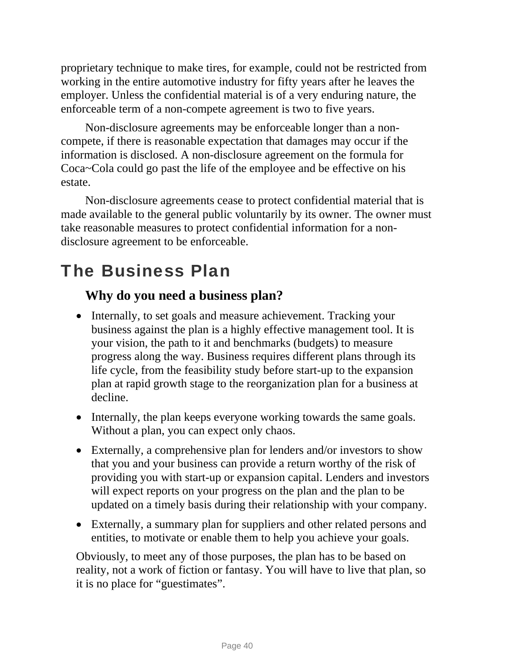proprietary technique to make tires, for example, could not be restricted from working in the entire automotive industry for fifty years after he leaves the employer. Unless the confidential material is of a very enduring nature, the enforceable term of a non-compete agreement is two to five years.

Non-disclosure agreements may be enforceable longer than a noncompete, if there is reasonable expectation that damages may occur if the information is disclosed. A non-disclosure agreement on the formula for Coca~Cola could go past the life of the employee and be effective on his estate.

Non-disclosure agreements cease to protect confidential material that is made available to the general public voluntarily by its owner. The owner must take reasonable measures to protect confidential information for a nondisclosure agreement to be enforceable.

# The Business Plan

### **Why do you need a business plan?**

- Internally, to set goals and measure achievement. Tracking your business against the plan is a highly effective management tool. It is your vision, the path to it and benchmarks (budgets) to measure progress along the way. Business requires different plans through its life cycle, from the feasibility study before start-up to the expansion plan at rapid growth stage to the reorganization plan for a business at decline.
- Internally, the plan keeps everyone working towards the same goals. Without a plan, you can expect only chaos.
- Externally, a comprehensive plan for lenders and/or investors to show that you and your business can provide a return worthy of the risk of providing you with start-up or expansion capital. Lenders and investors will expect reports on your progress on the plan and the plan to be updated on a timely basis during their relationship with your company.
- Externally, a summary plan for suppliers and other related persons and entities, to motivate or enable them to help you achieve your goals.

Obviously, to meet any of those purposes, the plan has to be based on reality, not a work of fiction or fantasy. You will have to live that plan, so it is no place for "guestimates".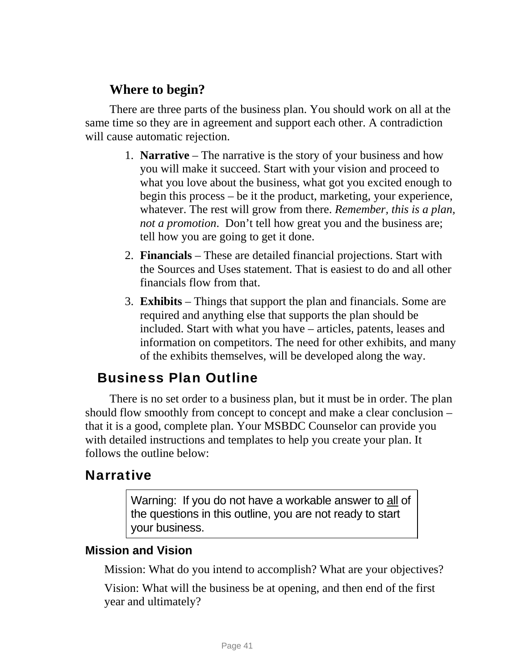### **Where to begin?**

There are three parts of the business plan. You should work on all at the same time so they are in agreement and support each other. A contradiction will cause automatic rejection.

- 1. **Narrative**  The narrative is the story of your business and how you will make it succeed. Start with your vision and proceed to what you love about the business, what got you excited enough to begin this process – be it the product, marketing, your experience, whatever. The rest will grow from there. *Remember, this is a plan, not a promotion*. Don't tell how great you and the business are; tell how you are going to get it done.
- 2. **Financials** These are detailed financial projections. Start with the Sources and Uses statement. That is easiest to do and all other financials flow from that.
- 3. **Exhibits** Things that support the plan and financials. Some are required and anything else that supports the plan should be included. Start with what you have – articles, patents, leases and information on competitors. The need for other exhibits, and many of the exhibits themselves, will be developed along the way.

### Business Plan Outline

There is no set order to a business plan, but it must be in order. The plan should flow smoothly from concept to concept and make a clear conclusion – that it is a good, complete plan. Your MSBDC Counselor can provide you with detailed instructions and templates to help you create your plan. It follows the outline below:

### **Narrative**

Warning: If you do not have a workable answer to all of the questions in this outline, you are not ready to start your business.

### **Mission and Vision**

Mission: What do you intend to accomplish? What are your objectives?

Vision: What will the business be at opening, and then end of the first year and ultimately?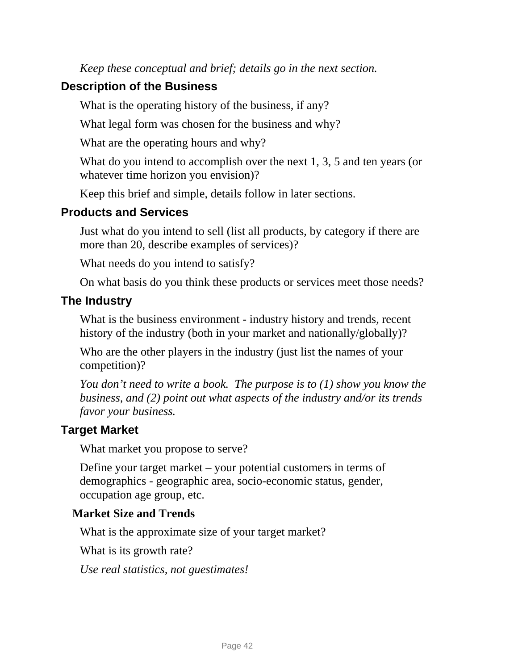*Keep these conceptual and brief; details go in the next section.* 

### **Description of the Business**

What is the operating history of the business, if any?

What legal form was chosen for the business and why?

What are the operating hours and why?

What do you intend to accomplish over the next 1, 3, 5 and ten years (or whatever time horizon you envision)?

Keep this brief and simple, details follow in later sections.

### **Products and Services**

Just what do you intend to sell (list all products, by category if there are more than 20, describe examples of services)?

What needs do you intend to satisfy?

On what basis do you think these products or services meet those needs?

### **The Industry**

What is the business environment - industry history and trends, recent history of the industry (both in your market and nationally/globally)?

Who are the other players in the industry (just list the names of your competition)?

*You don't need to write a book. The purpose is to (1) show you know the business, and (2) point out what aspects of the industry and/or its trends favor your business.* 

### **Target Market**

What market you propose to serve?

Define your target market – your potential customers in terms of demographics - geographic area, socio-economic status, gender, occupation age group, etc.

#### **Market Size and Trends**

What is the approximate size of your target market?

What is its growth rate?

*Use real statistics, not guestimates!*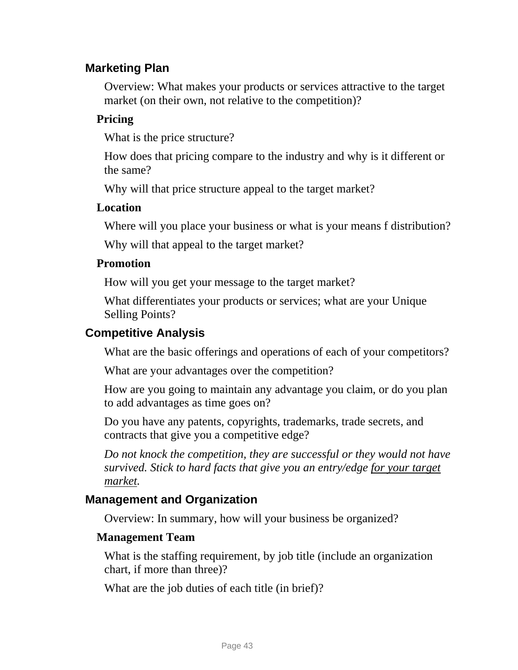### **Marketing Plan**

Overview: What makes your products or services attractive to the target market (on their own, not relative to the competition)?

#### **Pricing**

What is the price structure?

How does that pricing compare to the industry and why is it different or the same?

Why will that price structure appeal to the target market?

#### **Location**

Where will you place your business or what is your means f distribution?

Why will that appeal to the target market?

#### **Promotion**

How will you get your message to the target market?

What differentiates your products or services; what are your Unique Selling Points?

#### **Competitive Analysis**

What are the basic offerings and operations of each of your competitors?

What are your advantages over the competition?

How are you going to maintain any advantage you claim, or do you plan to add advantages as time goes on?

Do you have any patents, copyrights, trademarks, trade secrets, and contracts that give you a competitive edge?

*Do not knock the competition, they are successful or they would not have survived. Stick to hard facts that give you an entry/edge for your target market.* 

### **Management and Organization**

Overview: In summary, how will your business be organized?

#### **Management Team**

What is the staffing requirement, by job title (include an organization chart, if more than three)?

What are the job duties of each title (in brief)?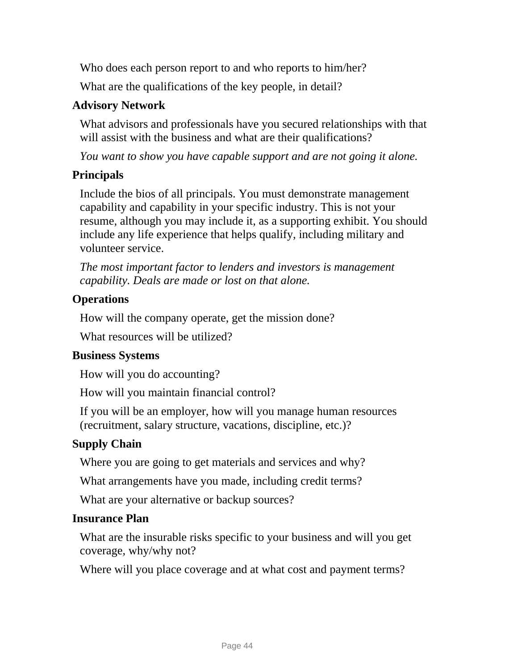Who does each person report to and who reports to him/her?

What are the qualifications of the key people, in detail?

### **Advisory Network**

What advisors and professionals have you secured relationships with that will assist with the business and what are their qualifications?

*You want to show you have capable support and are not going it alone.* 

### **Principals**

Include the bios of all principals. You must demonstrate management capability and capability in your specific industry. This is not your resume, although you may include it, as a supporting exhibit. You should include any life experience that helps qualify, including military and volunteer service.

*The most important factor to lenders and investors is management capability. Deals are made or lost on that alone.* 

### **Operations**

How will the company operate, get the mission done?

What resources will be utilized?

### **Business Systems**

How will you do accounting?

How will you maintain financial control?

If you will be an employer, how will you manage human resources (recruitment, salary structure, vacations, discipline, etc.)?

### **Supply Chain**

Where you are going to get materials and services and why?

What arrangements have you made, including credit terms?

What are your alternative or backup sources?

#### **Insurance Plan**

What are the insurable risks specific to your business and will you get coverage, why/why not?

Where will you place coverage and at what cost and payment terms?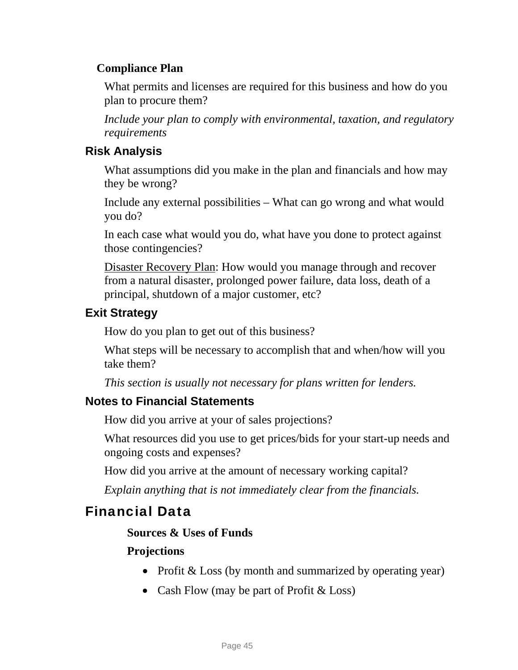### **Compliance Plan**

What permits and licenses are required for this business and how do you plan to procure them?

*Include your plan to comply with environmental, taxation, and regulatory requirements* 

### **Risk Analysis**

What assumptions did you make in the plan and financials and how may they be wrong?

Include any external possibilities – What can go wrong and what would you do?

In each case what would you do, what have you done to protect against those contingencies?

Disaster Recovery Plan: How would you manage through and recover from a natural disaster, prolonged power failure, data loss, death of a principal, shutdown of a major customer, etc?

### **Exit Strategy**

How do you plan to get out of this business?

What steps will be necessary to accomplish that and when/how will you take them?

*This section is usually not necessary for plans written for lenders.* 

### **Notes to Financial Statements**

How did you arrive at your of sales projections?

What resources did you use to get prices/bids for your start-up needs and ongoing costs and expenses?

How did you arrive at the amount of necessary working capital?

*Explain anything that is not immediately clear from the financials.* 

### Financial Data

#### **Sources & Uses of Funds**

#### **Projections**

- Profit & Loss (by month and summarized by operating year)
- Cash Flow (may be part of Profit  $&$  Loss)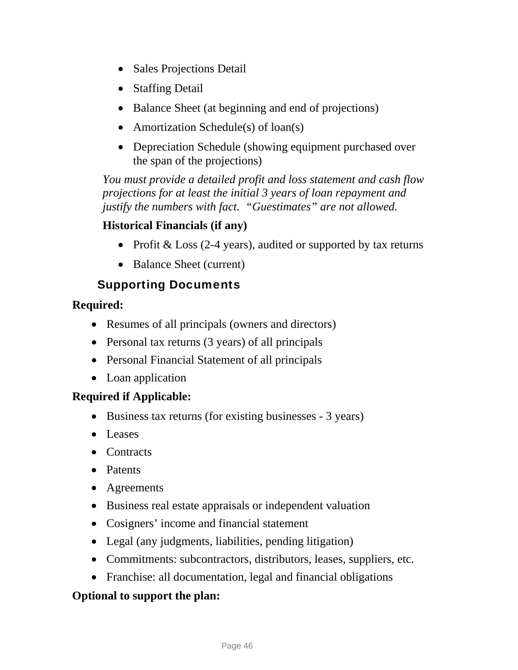- Sales Projections Detail
- Staffing Detail
- Balance Sheet (at beginning and end of projections)
- Amortization Schedule(s) of loan(s)
- Depreciation Schedule (showing equipment purchased over the span of the projections)

*You must provide a detailed profit and loss statement and cash flow projections for at least the initial 3 years of loan repayment and justify the numbers with fact. "Guestimates" are not allowed.* 

### **Historical Financials (if any)**

- Profit & Loss (2-4 years), audited or supported by tax returns
- Balance Sheet (current)

### Supporting Documents

#### **Required:**

- Resumes of all principals (owners and directors)
- Personal tax returns (3 years) of all principals
- Personal Financial Statement of all principals
- Loan application

#### **Required if Applicable:**

- Business tax returns (for existing businesses 3 years)
- Leases
- Contracts
- Patents
- Agreements
- Business real estate appraisals or independent valuation
- Cosigners' income and financial statement
- Legal (any judgments, liabilities, pending litigation)
- Commitments: subcontractors, distributors, leases, suppliers, etc.
- Franchise: all documentation, legal and financial obligations

#### **Optional to support the plan:**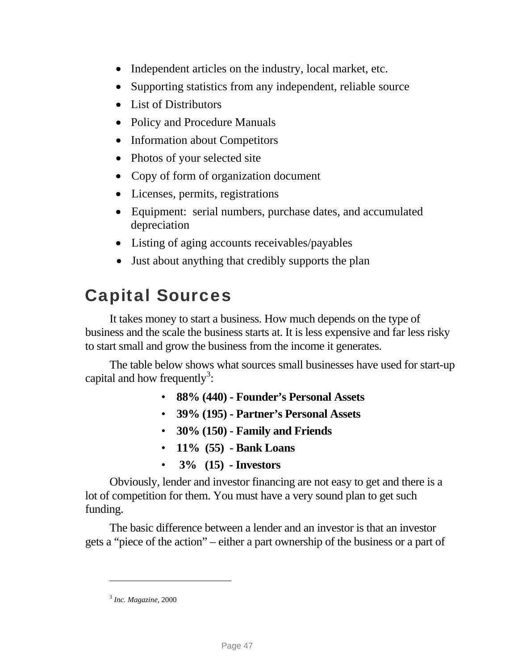- Independent articles on the industry, local market, etc.
- Supporting statistics from any independent, reliable source
- List of Distributors
- Policy and Procedure Manuals
- Information about Competitors
- Photos of your selected site
- Copy of form of organization document
- Licenses, permits, registrations
- Equipment: serial numbers, purchase dates, and accumulated depreciation
- Listing of aging accounts receivables/payables
- Just about anything that credibly supports the plan

# Capital Sources

It takes money to start a business. How much depends on the type of business and the scale the business starts at. It is less expensive and far less risky to start small and grow the business from the income it generates.

The table below shows what sources small businesses have used for start-up capital and how frequently<sup>[3](#page-49-0)</sup>:

- **88% (440) Founder's Personal Assets**
- **39% (195) Partner's Personal Assets**
- **30% (150) Family and Friends**
- **11% (55) Bank Loans**
- • **3% (15) Investors**

Obviously, lender and investor financing are not easy to get and there is a lot of competition for them. You must have a very sound plan to get such funding.

The basic difference between a lender and an investor is that an investor gets a "piece of the action" – either a part ownership of the business or a part of

<u>.</u>

<span id="page-49-0"></span><sup>3</sup> *Inc. Magazine*, 2000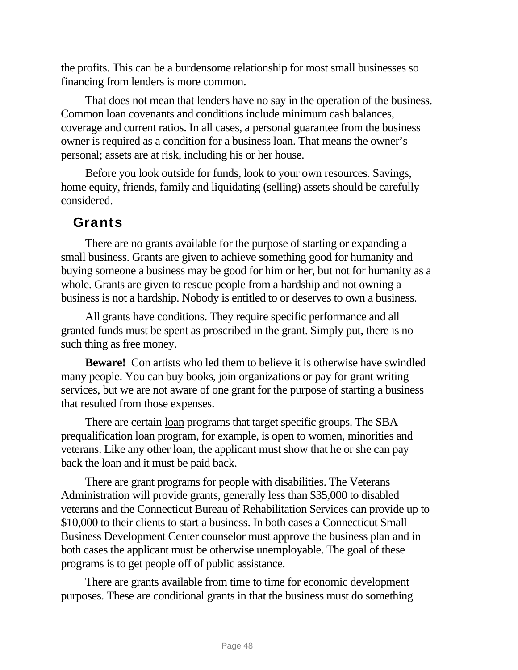the profits. This can be a burdensome relationship for most small businesses so financing from lenders is more common.

That does not mean that lenders have no say in the operation of the business. Common loan covenants and conditions include minimum cash balances, coverage and current ratios. In all cases, a personal guarantee from the business owner is required as a condition for a business loan. That means the owner's personal; assets are at risk, including his or her house.

Before you look outside for funds, look to your own resources. Savings, home equity, friends, family and liquidating (selling) assets should be carefully considered.

### Grants

There are no grants available for the purpose of starting or expanding a small business. Grants are given to achieve something good for humanity and buying someone a business may be good for him or her, but not for humanity as a whole. Grants are given to rescue people from a hardship and not owning a business is not a hardship. Nobody is entitled to or deserves to own a business.

All grants have conditions. They require specific performance and all granted funds must be spent as proscribed in the grant. Simply put, there is no such thing as free money.

**Beware!** Con artists who led them to believe it is otherwise have swindled many people. You can buy books, join organizations or pay for grant writing services, but we are not aware of one grant for the purpose of starting a business that resulted from those expenses.

There are certain <u>loan</u> programs that target specific groups. The SBA prequalification loan program, for example, is open to women, minorities and veterans. Like any other loan, the applicant must show that he or she can pay back the loan and it must be paid back.

There are grant programs for people with disabilities. The Veterans Administration will provide grants, generally less than \$35,000 to disabled veterans and the Connecticut Bureau of Rehabilitation Services can provide up to \$10,000 to their clients to start a business. In both cases a Connecticut Small Business Development Center counselor must approve the business plan and in both cases the applicant must be otherwise unemployable. The goal of these programs is to get people off of public assistance.

There are grants available from time to time for economic development purposes. These are conditional grants in that the business must do something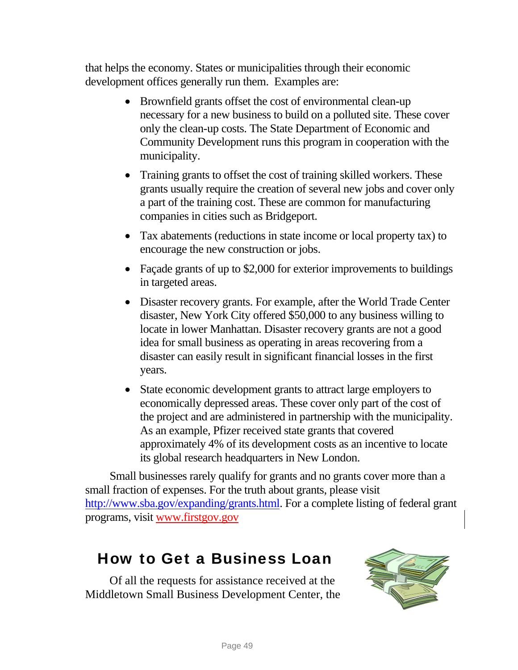that helps the economy. States or municipalities through their economic development offices generally run them. Examples are:

- Brownfield grants offset the cost of environmental clean-up necessary for a new business to build on a polluted site. These cover only the clean-up costs. The State Department of Economic and Community Development runs this program in cooperation with the municipality.
- Training grants to offset the cost of training skilled workers. These grants usually require the creation of several new jobs and cover only a part of the training cost. These are common for manufacturing companies in cities such as Bridgeport.
- Tax abatements (reductions in state income or local property tax) to encourage the new construction or jobs.
- Façade grants of up to \$2,000 for exterior improvements to buildings in targeted areas.
- Disaster recovery grants. For example, after the World Trade Center disaster, New York City offered \$50,000 to any business willing to locate in lower Manhattan. Disaster recovery grants are not a good idea for small business as operating in areas recovering from a disaster can easily result in significant financial losses in the first years.
- State economic development grants to attract large employers to economically depressed areas. These cover only part of the cost of the project and are administered in partnership with the municipality. As an example, Pfizer received state grants that covered approximately 4% of its development costs as an incentive to locate its global research headquarters in New London.

Small businesses rarely qualify for grants and no grants cover more than a small fraction of expenses. For the truth about grants, please visit [http://www.sba.gov/expanding/grants.html.](http://www.sba.gov/expanding/grants.html) For a complete listing of federal grant programs, visit www.firstgov.gov

# How to Get a Business Loan

Of all the requests for assistance received at the Middletown Small Business Development Center, the

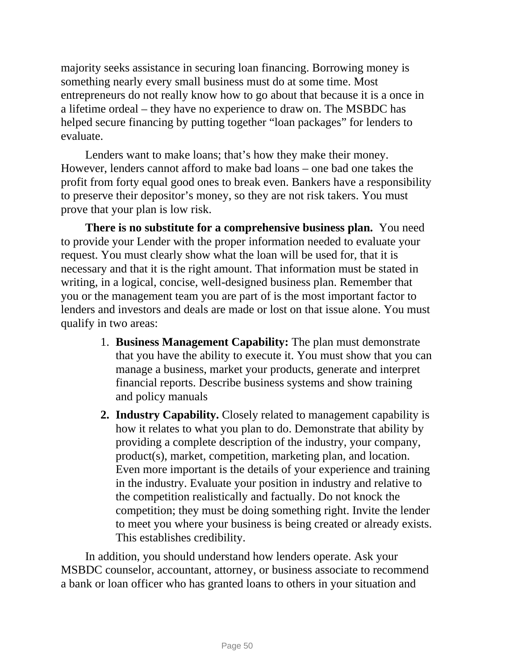majority seeks assistance in securing loan financing. Borrowing money is something nearly every small business must do at some time. Most entrepreneurs do not really know how to go about that because it is a once in a lifetime ordeal – they have no experience to draw on. The MSBDC has helped secure financing by putting together "loan packages" for lenders to evaluate.

Lenders want to make loans; that's how they make their money. However, lenders cannot afford to make bad loans – one bad one takes the profit from forty equal good ones to break even. Bankers have a responsibility to preserve their depositor's money, so they are not risk takers. You must prove that your plan is low risk.

**There is no substitute for a comprehensive business plan.** You need to provide your Lender with the proper information needed to evaluate your request. You must clearly show what the loan will be used for, that it is necessary and that it is the right amount. That information must be stated in writing, in a logical, concise, well-designed business plan. Remember that you or the management team you are part of is the most important factor to lenders and investors and deals are made or lost on that issue alone. You must qualify in two areas:

- 1. **Business Management Capability:** The plan must demonstrate that you have the ability to execute it. You must show that you can manage a business, market your products, generate and interpret financial reports. Describe business systems and show training and policy manuals
- **2. Industry Capability.** Closely related to management capability is how it relates to what you plan to do. Demonstrate that ability by providing a complete description of the industry, your company, product(s), market, competition, marketing plan, and location. Even more important is the details of your experience and training in the industry. Evaluate your position in industry and relative to the competition realistically and factually. Do not knock the competition; they must be doing something right. Invite the lender to meet you where your business is being created or already exists. This establishes credibility.

In addition, you should understand how lenders operate. Ask your MSBDC counselor, accountant, attorney, or business associate to recommend a bank or loan officer who has granted loans to others in your situation and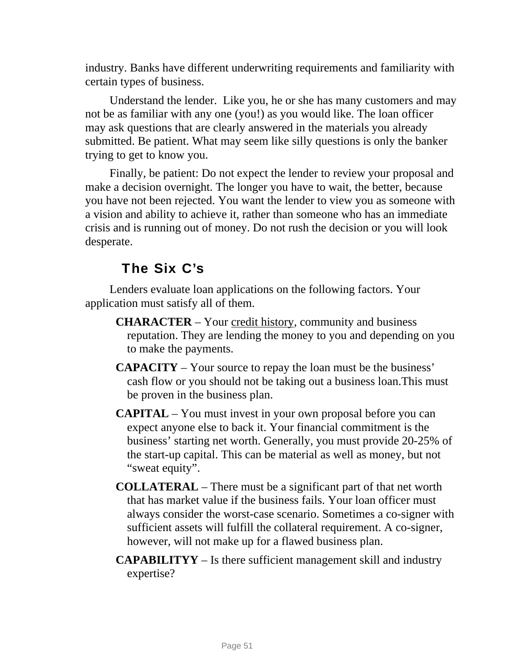industry. Banks have different underwriting requirements and familiarity with certain types of business.

Understand the lender. Like you, he or she has many customers and may not be as familiar with any one (you!) as you would like. The loan officer may ask questions that are clearly answered in the materials you already submitted. Be patient. What may seem like silly questions is only the banker trying to get to know you.

Finally, be patient: Do not expect the lender to review your proposal and make a decision overnight. The longer you have to wait, the better, because you have not been rejected. You want the lender to view you as someone with a vision and ability to achieve it, rather than someone who has an immediate crisis and is running out of money. Do not rush the decision or you will look desperate.

### The Six C's

Lenders evaluate loan applications on the following factors. Your application must satisfy all of them.

- **CHARACTER** Your credit history, community and business reputation. They are lending the money to you and depending on you to make the payments.
- **CAPACITY** Your source to repay the loan must be the business' cash flow or you should not be taking out a business loan.This must be proven in the business plan.
- **CAPITAL** You must invest in your own proposal before you can expect anyone else to back it. Your financial commitment is the business' starting net worth. Generally, you must provide 20-25% of the start-up capital. This can be material as well as money, but not "sweat equity".
- **COLLATERAL** There must be a significant part of that net worth that has market value if the business fails. Your loan officer must always consider the worst-case scenario. Sometimes a co-signer with sufficient assets will fulfill the collateral requirement. A co-signer, however, will not make up for a flawed business plan.
- **CAPABILITYY** Is there sufficient management skill and industry expertise?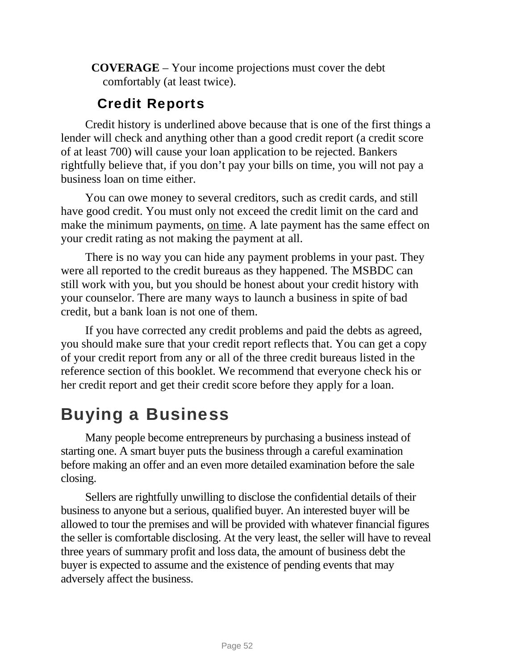**COVERAGE** – Your income projections must cover the debt comfortably (at least twice).

### Credit Reports

Credit history is underlined above because that is one of the first things a lender will check and anything other than a good credit report (a credit score of at least 700) will cause your loan application to be rejected. Bankers rightfully believe that, if you don't pay your bills on time, you will not pay a business loan on time either.

You can owe money to several creditors, such as credit cards, and still have good credit. You must only not exceed the credit limit on the card and make the minimum payments, on time. A late payment has the same effect on your credit rating as not making the payment at all.

There is no way you can hide any payment problems in your past. They were all reported to the credit bureaus as they happened. The MSBDC can still work with you, but you should be honest about your credit history with your counselor. There are many ways to launch a business in spite of bad credit, but a bank loan is not one of them.

If you have corrected any credit problems and paid the debts as agreed, you should make sure that your credit report reflects that. You can get a copy of your credit report from any or all of the three credit bureaus listed in the reference section of this booklet. We recommend that everyone check his or her credit report and get their credit score before they apply for a loan.

# Buying a Business

Many people become entrepreneurs by purchasing a business instead of starting one. A smart buyer puts the business through a careful examination before making an offer and an even more detailed examination before the sale closing.

Sellers are rightfully unwilling to disclose the confidential details of their business to anyone but a serious, qualified buyer. An interested buyer will be allowed to tour the premises and will be provided with whatever financial figures the seller is comfortable disclosing. At the very least, the seller will have to reveal three years of summary profit and loss data, the amount of business debt the buyer is expected to assume and the existence of pending events that may adversely affect the business.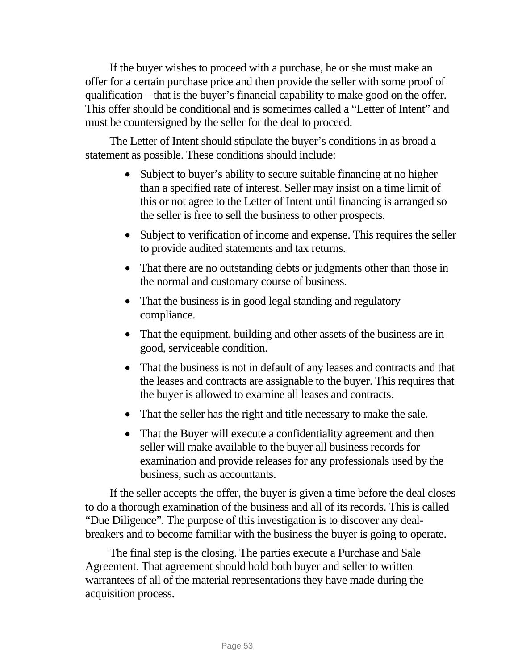If the buyer wishes to proceed with a purchase, he or she must make an offer for a certain purchase price and then provide the seller with some proof of qualification – that is the buyer's financial capability to make good on the offer. This offer should be conditional and is sometimes called a "Letter of Intent" and must be countersigned by the seller for the deal to proceed.

The Letter of Intent should stipulate the buyer's conditions in as broad a statement as possible. These conditions should include:

- Subject to buyer's ability to secure suitable financing at no higher than a specified rate of interest. Seller may insist on a time limit of this or not agree to the Letter of Intent until financing is arranged so the seller is free to sell the business to other prospects.
- Subject to verification of income and expense. This requires the seller to provide audited statements and tax returns.
- That there are no outstanding debts or judgments other than those in the normal and customary course of business.
- That the business is in good legal standing and regulatory compliance.
- That the equipment, building and other assets of the business are in good, serviceable condition.
- That the business is not in default of any leases and contracts and that the leases and contracts are assignable to the buyer. This requires that the buyer is allowed to examine all leases and contracts.
- That the seller has the right and title necessary to make the sale.
- That the Buyer will execute a confidentiality agreement and then seller will make available to the buyer all business records for examination and provide releases for any professionals used by the business, such as accountants.

If the seller accepts the offer, the buyer is given a time before the deal closes to do a thorough examination of the business and all of its records. This is called "Due Diligence". The purpose of this investigation is to discover any dealbreakers and to become familiar with the business the buyer is going to operate.

The final step is the closing. The parties execute a Purchase and Sale Agreement. That agreement should hold both buyer and seller to written warrantees of all of the material representations they have made during the acquisition process.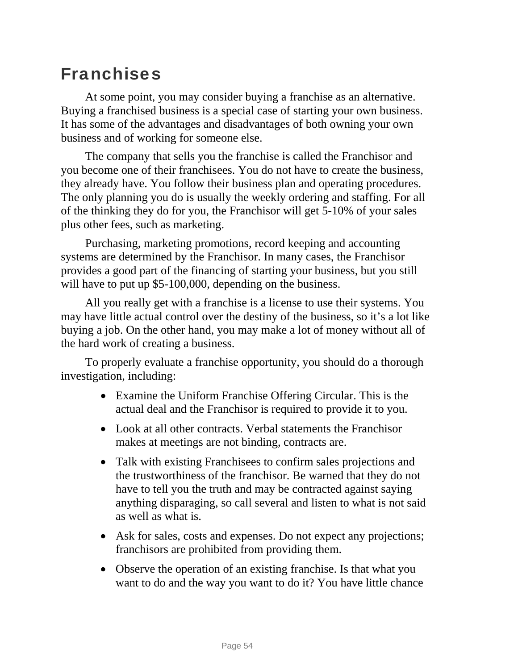# Franchises

At some point, you may consider buying a franchise as an alternative. Buying a franchised business is a special case of starting your own business. It has some of the advantages and disadvantages of both owning your own business and of working for someone else.

The company that sells you the franchise is called the Franchisor and you become one of their franchisees. You do not have to create the business, they already have. You follow their business plan and operating procedures. The only planning you do is usually the weekly ordering and staffing. For all of the thinking they do for you, the Franchisor will get 5-10% of your sales plus other fees, such as marketing.

Purchasing, marketing promotions, record keeping and accounting systems are determined by the Franchisor. In many cases, the Franchisor provides a good part of the financing of starting your business, but you still will have to put up \$5-100,000, depending on the business.

All you really get with a franchise is a license to use their systems. You may have little actual control over the destiny of the business, so it's a lot like buying a job. On the other hand, you may make a lot of money without all of the hard work of creating a business.

To properly evaluate a franchise opportunity, you should do a thorough investigation, including:

- Examine the Uniform Franchise Offering Circular. This is the actual deal and the Franchisor is required to provide it to you.
- Look at all other contracts. Verbal statements the Franchisor makes at meetings are not binding, contracts are.
- Talk with existing Franchisees to confirm sales projections and the trustworthiness of the franchisor. Be warned that they do not have to tell you the truth and may be contracted against saying anything disparaging, so call several and listen to what is not said as well as what is.
- Ask for sales, costs and expenses. Do not expect any projections; franchisors are prohibited from providing them.
- Observe the operation of an existing franchise. Is that what you want to do and the way you want to do it? You have little chance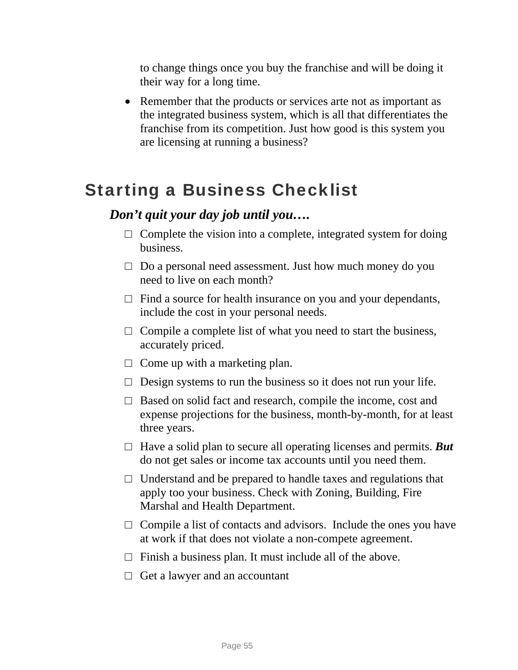to change things once you buy the franchise and will be doing it their way for a long time.

• Remember that the products or services arte not as important as the integrated business system, which is all that differentiates the franchise from its competition. Just how good is this system you are licensing at running a business?

# Starting a Business Checklist

### *Don't quit your day job until you….*

- $\Box$  Complete the vision into a complete, integrated system for doing business.
- $\Box$  Do a personal need assessment. Just how much money do you need to live on each month?
- $\Box$  Find a source for health insurance on you and your dependants, include the cost in your personal needs.
- $\Box$  Compile a complete list of what you need to start the business, accurately priced.
- $\Box$  Come up with a marketing plan.
- $\Box$  Design systems to run the business so it does not run your life.
- $\Box$  Based on solid fact and research, compile the income, cost and expense projections for the business, month-by-month, for at least three years.
- $\Box$  Have a solid plan to secure all operating licenses and permits. **But** do not get sales or income tax accounts until you need them.
- $\Box$  Understand and be prepared to handle taxes and regulations that apply too your business. Check with Zoning, Building, Fire Marshal and Health Department.
- $\Box$  Compile a list of contacts and advisors. Include the ones you have at work if that does not violate a non-compete agreement.
- $\Box$  Finish a business plan. It must include all of the above.
- $\Box$  Get a lawyer and an accountant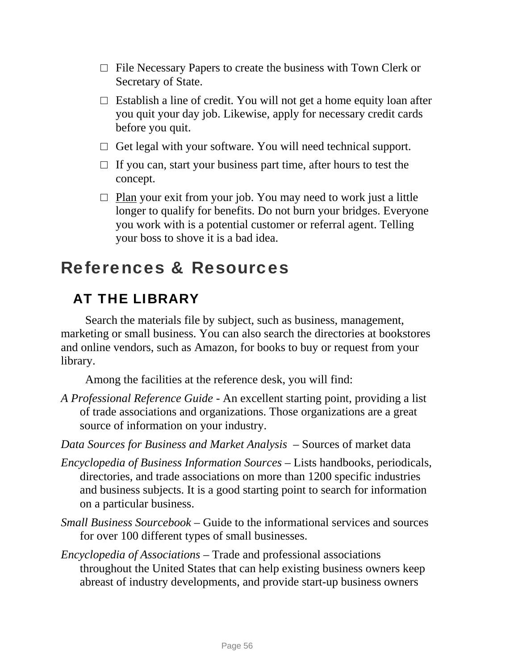- $\Box$  File Necessary Papers to create the business with Town Clerk or Secretary of State.
- $\Box$  Establish a line of credit. You will not get a home equity loan after you quit your day job. Likewise, apply for necessary credit cards before you quit.
- $\Box$  Get legal with your software. You will need technical support.
- $\Box$  If you can, start your business part time, after hours to test the concept.
- $\Box$  Plan your exit from your job. You may need to work just a little longer to qualify for benefits. Do not burn your bridges. Everyone you work with is a potential customer or referral agent. Telling your boss to shove it is a bad idea.

# References & Resources

## AT THE LIBRARY

Search the materials file by subject, such as business, management, marketing or small business. You can also search the directories at bookstores and online vendors, such as Amazon, for books to buy or request from your library.

Among the facilities at the reference desk, you will find:

- *A Professional Reference Guide* An excellent starting point, providing a list of trade associations and organizations. Those organizations are a great source of information on your industry.
- *Data Sources for Business and Market Analysis* Sources of market data
- *Encyclopedia of Business Information Sources* Lists handbooks, periodicals, directories, and trade associations on more than 1200 specific industries and business subjects. It is a good starting point to search for information on a particular business.
- *Small Business Sourcebook* Guide to the informational services and sources for over 100 different types of small businesses.
- *Encyclopedia of Associations* Trade and professional associations throughout the United States that can help existing business owners keep abreast of industry developments, and provide start-up business owners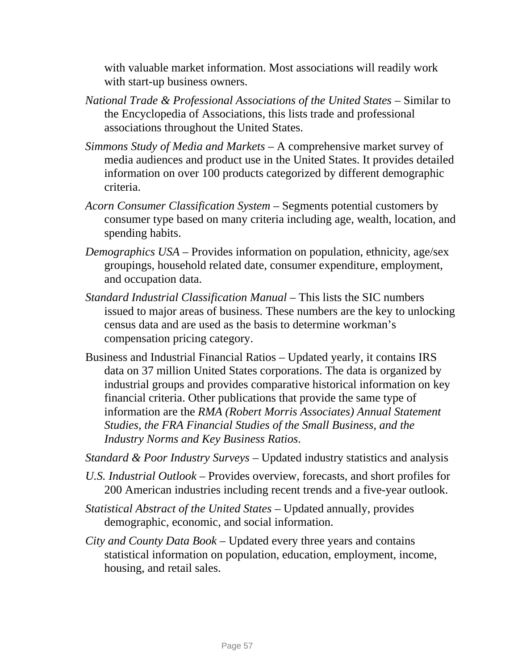with valuable market information. Most associations will readily work with start-up business owners.

- *National Trade & Professional Associations of the United States* Similar to the Encyclopedia of Associations, this lists trade and professional associations throughout the United States.
- *Simmons Study of Media and Markets* A comprehensive market survey of media audiences and product use in the United States. It provides detailed information on over 100 products categorized by different demographic criteria.
- *Acorn Consumer Classification System* Segments potential customers by consumer type based on many criteria including age, wealth, location, and spending habits.
- *Demographics USA* Provides information on population, ethnicity, age/sex groupings, household related date, consumer expenditure, employment, and occupation data.
- *Standard Industrial Classification Manual* This lists the SIC numbers issued to major areas of business. These numbers are the key to unlocking census data and are used as the basis to determine workman's compensation pricing category.
- Business and Industrial Financial Ratios Updated yearly, it contains IRS data on 37 million United States corporations. The data is organized by industrial groups and provides comparative historical information on key financial criteria. Other publications that provide the same type of information are the *RMA (Robert Morris Associates) Annual Statement Studies, the FRA Financial Studies of the Small Business, and the Industry Norms and Key Business Ratios*.
- *Standard & Poor Industry Surveys* Updated industry statistics and analysis
- *U.S. Industrial Outlook* Provides overview, forecasts, and short profiles for 200 American industries including recent trends and a five-year outlook.
- *Statistical Abstract of the United States* Updated annually, provides demographic, economic, and social information.
- *City and County Data Book* Updated every three years and contains statistical information on population, education, employment, income, housing, and retail sales.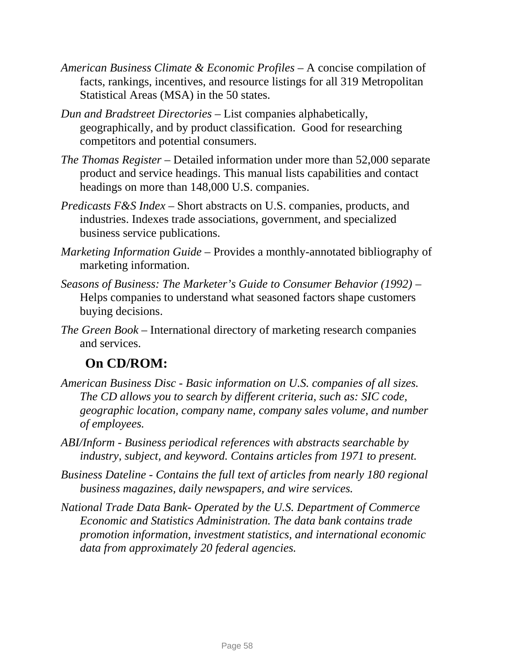- *American Business Climate & Economic Profiles* A concise compilation of facts, rankings, incentives, and resource listings for all 319 Metropolitan Statistical Areas (MSA) in the 50 states.
- *Dun and Bradstreet Directories* List companies alphabetically, geographically, and by product classification. Good for researching competitors and potential consumers.
- *The Thomas Register* Detailed information under more than 52,000 separate product and service headings. This manual lists capabilities and contact headings on more than 148,000 U.S. companies.
- *Predicasts F&S Index* Short abstracts on U.S. companies, products, and industries. Indexes trade associations, government, and specialized business service publications.
- *Marketing Information Guide* Provides a monthly-annotated bibliography of marketing information.
- *Seasons of Business: The Marketer's Guide to Consumer Behavior (1992)* Helps companies to understand what seasoned factors shape customers buying decisions.
- *The Green Book* International directory of marketing research companies and services.

### **On CD/ROM:**

- *American Business Disc Basic information on U.S. companies of all sizes. The CD allows you to search by different criteria, such as: SIC code, geographic location, company name, company sales volume, and number of employees.*
- *ABI/Inform Business periodical references with abstracts searchable by industry, subject, and keyword. Contains articles from 1971 to present.*
- *Business Dateline Contains the full text of articles from nearly 180 regional business magazines, daily newspapers, and wire services.*
- *National Trade Data Bank- Operated by the U.S. Department of Commerce Economic and Statistics Administration. The data bank contains trade promotion information, investment statistics, and international economic data from approximately 20 federal agencies.*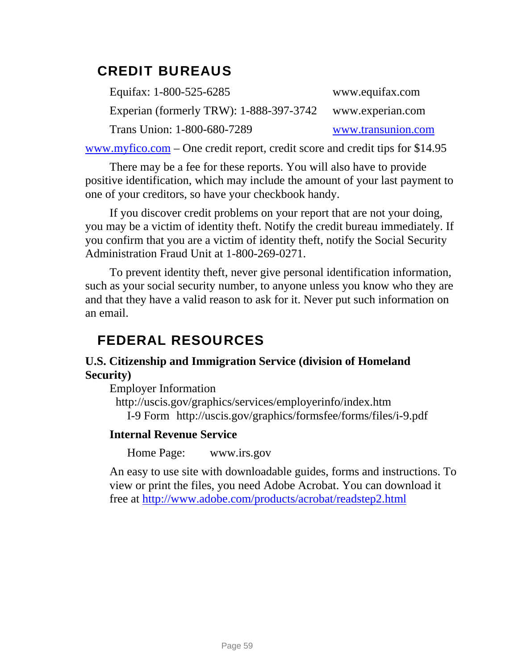### CREDIT BUREAUS

| Equitax: 1-800-525-6285                 | www.equifax.com    |
|-----------------------------------------|--------------------|
| Experian (formerly TRW): 1-888-397-3742 | www.experian.com   |
| Trans Union: 1-800-680-7289             | www.transunion.com |

[www.myfico.com](http://www.myfico.com/) – One credit report, credit score and credit tips for \$14.95

There may be a fee for these reports. You will also have to provide positive identification, which may include the amount of your last payment to one of your creditors, so have your checkbook handy.

If you discover credit problems on your report that are not your doing, you may be a victim of identity theft. Notify the credit bureau immediately. If you confirm that you are a victim of identity theft, notify the Social Security Administration Fraud Unit at 1-800-269-0271.

To prevent identity theft, never give personal identification information, such as your social security number, to anyone unless you know who they are and that they have a valid reason to ask for it. Never put such information on an email.

### FEDERAL RESOURCES

### **U.S. Citizenship and Immigration Service (division of Homeland Security)**

Employer Information

 http://uscis.gov/graphics/services/employerinfo/index.htm I-9 Form http://uscis.gov/graphics/formsfee/forms/files/i-9.pdf

### **Internal Revenue Service**

Home Page: [www.irs.gov](http://www.irs.gov/) 

An easy to use site with downloadable guides, forms and instructions. To view or print the files, you need Adobe Acrobat. You can download it free at<http://www.adobe.com/products/acrobat/readstep2.html>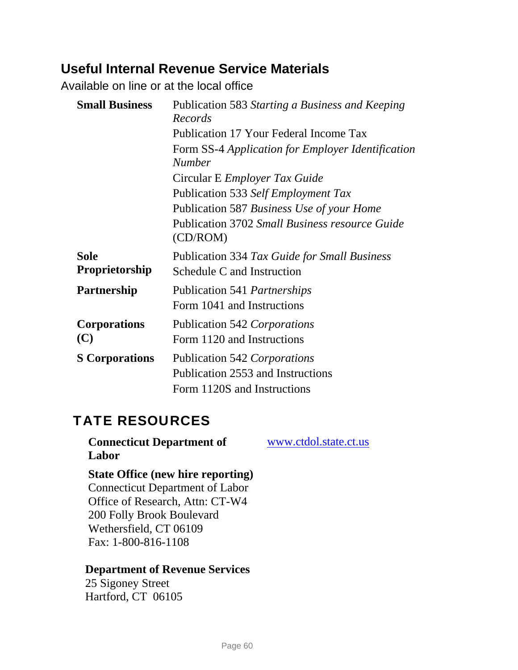### **Useful Internal Revenue Service Materials**

Available on line or at the local office

| <b>Small Business</b>         | Publication 583 Starting a Business and Keeping<br>Records                                       |  |
|-------------------------------|--------------------------------------------------------------------------------------------------|--|
|                               | Publication 17 Your Federal Income Tax                                                           |  |
|                               | Form SS-4 Application for Employer Identification<br><b>Number</b>                               |  |
|                               | Circular E <i>Employer Tax Guide</i>                                                             |  |
|                               | Publication 533 Self Employment Tax                                                              |  |
|                               | Publication 587 Business Use of your Home                                                        |  |
|                               | <b>Publication 3702 Small Business resource Guide</b><br>(CD/ROM)                                |  |
| <b>Sole</b><br>Proprietorship | Publication 334 Tax Guide for Small Business<br>Schedule C and Instruction                       |  |
| Partnership                   | Publication 541 <i>Partnerships</i><br>Form 1041 and Instructions                                |  |
| <b>Corporations</b><br>(C)    | Publication 542 Corporations<br>Form 1120 and Instructions                                       |  |
| <b>S</b> Corporations         | Publication 542 Corporations<br>Publication 2553 and Instructions<br>Form 1120S and Instructions |  |

### TATE RESOURCES

**Connecticut Department of Labor** 

[www.ctdol.state.ct.us](http://www.ctdol.state.ct.us/)

### **State Office (new hire reporting)**

Connecticut Department of Labor Office of Research, Attn: CT-W4 200 Folly Brook Boulevard Wethersfield, CT 06109 Fax: 1-800-816-1108

### **[Department](http://www.drs.state.ct.us/taxassistance/drsrodir.html#norwich) of Revenue Services**

25 Sigoney Street Hartford, CT 06105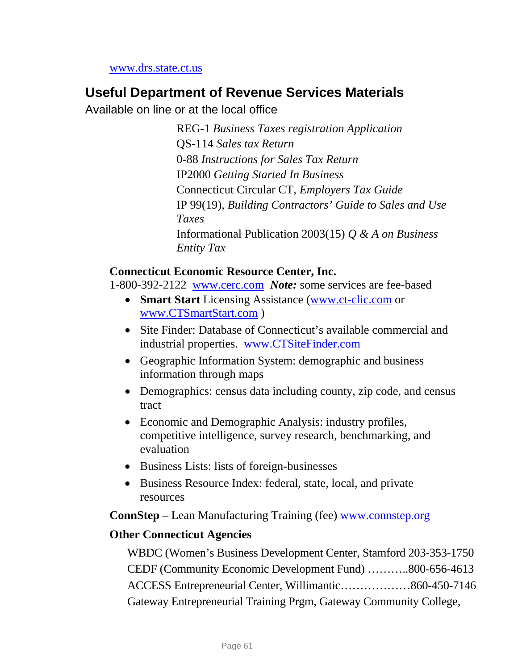[www.drs.state.ct.us](http://www.drs.state.ct.us/)

### **Useful Department of Revenue Services Materials**

Available on line or at the local office

REG-1 *Business Taxes registration Application*  QS-114 *Sales tax Return* 0-88 *Instructions for Sales Tax Return* IP2000 *Getting Started In Business* Connecticut Circular CT, *Employers Tax Guide* IP 99(19), *Building Contractors' Guide to Sales and Use Taxes* Informational Publication 2003(15) *Q & A on Business Entity Tax* 

### **Connecticut Economic Resource Center, Inc.**

1-800-392-2122 [www.cerc.com](http://www.cerc.com/) *Note:* some services are fee-based

- **Smart Start** Licensing Assistance ([www.ct-clic.com](http://www.ct-clic.com/) or [www.CTSmartStart.com](http://www.ctsmartstart.com/) )
- Site Finder: Database of Connecticut's available commercial and industrial properties. [www.CTSiteFinder.com](http://www.ctsitefinder.com/)
- Geographic Information System: demographic and business information through maps
- Demographics: census data including county, zip code, and census tract
- Economic and Demographic Analysis: industry profiles, competitive intelligence, survey research, benchmarking, and evaluation
- Business Lists: lists of foreign-businesses
- Business Resource Index: federal, state, local, and private resources

**ConnStep** – Lean Manufacturing Training (fee) [www.connstep.org](http://www.connstep.org/)

#### **Other Connecticut Agencies**

WBDC (Women's Business Development Center, Stamford 203-353-1750 CEDF (Community Economic Development Fund) ………..800-656-4613 ACCESS Entrepreneurial Center, Willimantic………………860-450-7146 Gateway Entrepreneurial Training Prgm, Gateway Community College,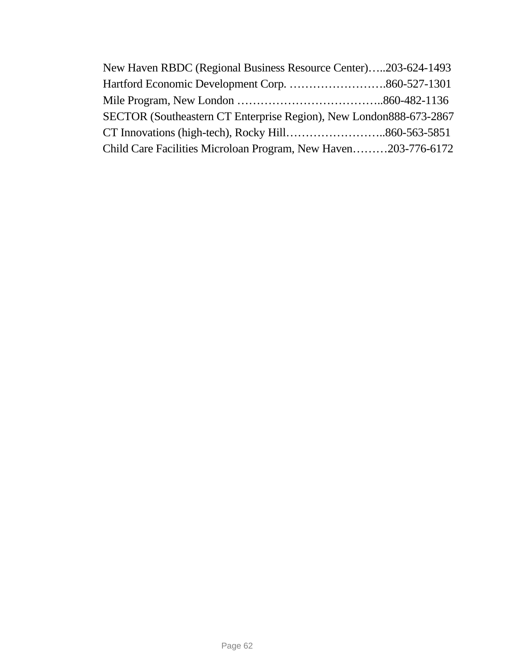| New Haven RBDC (Regional Business Resource Center)203-624-1493     |  |
|--------------------------------------------------------------------|--|
|                                                                    |  |
|                                                                    |  |
| SECTOR (Southeastern CT Enterprise Region), New London888-673-2867 |  |
|                                                                    |  |
| Child Care Facilities Microloan Program, New Haven203-776-6172     |  |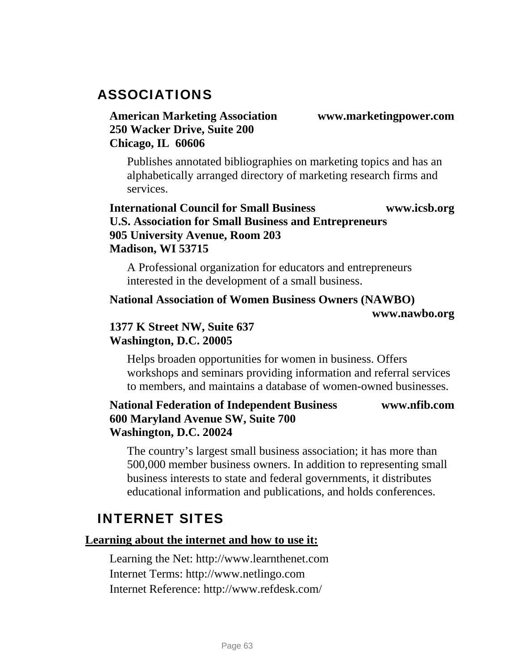### ASSOCIATIONS

### **American Marketing Association www.marketingpower.com 250 Wacker Drive, Suite 200 Chicago, IL 60606**

Publishes annotated bibliographies on marketing topics and has an alphabetically arranged directory of marketing research firms and services.

### **International Council for Small Business www.icsb.org U.S. Association for Small Business and Entrepreneurs 905 University Avenue, Room 203 Madison, WI 53715**

A Professional organization for educators and entrepreneurs interested in the development of a small business.

#### **National Association of Women Business Owners (NAWBO)**

 **www.nawbo.org** 

### **1377 K Street NW, Suite 637 Washington, D.C. 20005**

Helps broaden opportunities for women in business. Offers workshops and seminars providing information and referral services to members, and maintains a database of women-owned businesses.

### **National Federation of Independent Business www.nfib.com 600 Maryland Avenue SW, Suite 700 Washington, D.C. 20024**

The country's largest small business association; it has more than 500,000 member business owners. In addition to representing small business interests to state and federal governments, it distributes educational information and publications, and holds conferences.

### INTERNET SITES

#### **Learning about the internet and how to use it:**

Learning the Net: [http://www.learnthenet.com](http://www.learnthenet.com/)  Internet Terms: [http://www.netlingo.com](http://netlingo.com/)  Internet Reference: <http://www.refdesk.com/>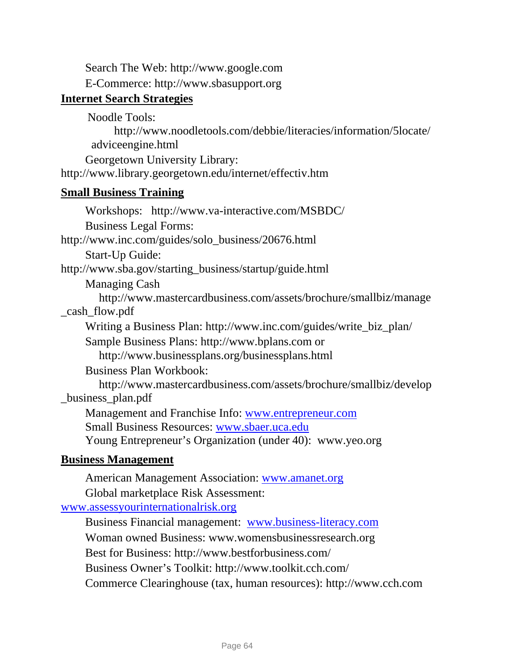Search The Web: [http://www.google.com](http://www.google.com/)

E-Commerce: [http://www.sbasupport.org](http://www.sbasupport.org/) 

### **Internet Search Strategies**

Noodle Tools:

[http://www.noodletools.com/debbie/literacies/information/5locate/](http://www.noodletools.com/debbie/literacies/information/5locate/adviceengine.html) [adviceengine.html](http://www.noodletools.com/debbie/literacies/information/5locate/adviceengine.html)

Georgetown University Library:

<http://www.library.georgetown.edu/internet/effectiv.htm>

### **Small Business Training**

Workshops: [http://www.va-interactive.com/MSBDC/](http://www.va-interactive.com/csbdc/)  Business Legal Forms: [http://www.inc.com/guides/solo\\_business/20676.html](https://sbpostman.business.uconn.edu/exchweb/bin/redir.asp?URL=http://www.inc.com/guides/solo_business/20676.html) Start-Up Guide: [http://www.sba.gov/starting\\_business/startup/guide.html](http://www.sba.gov/starting_business/startup/guide.html)  [Managing Cash](http://www.mastercardbusiness.com/assets/brochure/smallbiz/develop_business_plan.pdf) [http://www.mastercardbusiness.com/assets/brochure/smallbiz/manage](http://www.mastercardbusiness.com/assets/brochure/smallbiz/manage_cash_flow.pdf) [\\_cash\\_flow.pdf](http://www.mastercardbusiness.com/assets/brochure/smallbiz/manage_cash_flow.pdf)  Writing a Business Plan: [http://www.inc.com/guides/write\\_biz\\_plan/](https://sbpostman.business.uconn.edu/exchweb/bin/redir.asp?URL=http://www.inc.com/guides/write_biz_plan/) Sample Business Plans: [http://www.bplans.com](http://www.bplans.com/) or <http://www.businessplans.org/businessplans.html> [Business Plan Workbook](http://www.mastercardbusiness.com/assets/brochure/smallbiz/develop_business_plan.pdf): [http://www.mastercardbusiness.com/assets/brochure/smallbiz/develop](http://www.mastercardbusiness.com/assets/brochure/smallbiz/develop_business_plan.pdf) [\\_business\\_plan.pdf](http://www.mastercardbusiness.com/assets/brochure/smallbiz/develop_business_plan.pdf)  Management and Franchise Info: [www.entrepreneur.com](http://www.entrepreneur.com/) Small Business Resources: [www.sbaer.uca.edu](http://www.sbaer.uca.edu/) Young Entrepreneur's Organization (under 40): www.yeo.org

### **Business Management**

American Management Association: [www.amanet.org](http://www.amanet.org/)

Global marketplace Risk Assessment:

[www.assessyourinternationalrisk.org](http://www.assessyourinternationalrisk.org/)

Business Financial management: [www.business-literacy.com](http://www.business-literacy.com/) Woman owned Business: www.womensbusinessresearch.org Best for Business:<http://www.bestforbusiness.com/> Business Owner's Toolkit:<http://www.toolkit.cch.com/> Commerce Clearinghouse (tax, human resources): [http://www.cch.com](http://www.cch.com/)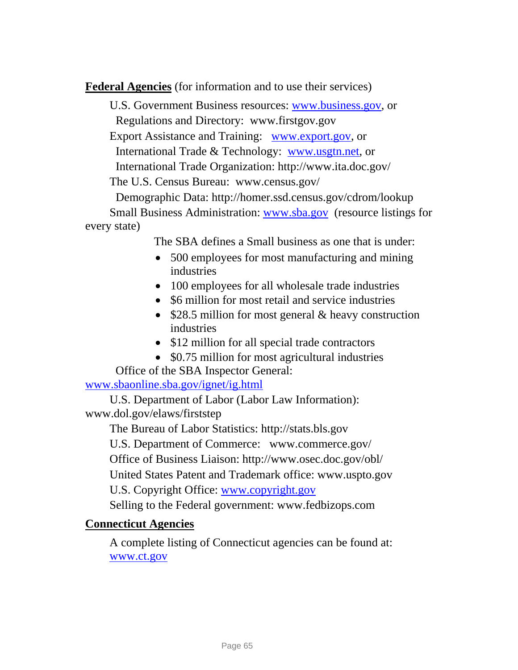**Federal Agencies** (for information and to use their services)

U.S. Government Business resources: [www.business.gov,](http://www.business.gov/) or Regulations and Directory: www.firstgov.gov Export Assistance and Training: [www.export.gov](http://www.export.gov/), or International Trade & Technology: [www.usgtn.net,](http://www.usgtn.net/) or International Trade Organization:<http://www.ita.doc.gov/> The U.S. Census Bureau: www.census.gov/ Demographic Data: http://homer.ssd.census.gov/cdrom/lookup Small Business Administration: [www.sba.gov](http://www.sba.gov/) (resource listings for every state)

The SBA defines a Small business as one that is under:

- 500 employees for most manufacturing and mining industries
- 100 employees for all wholesale trade industries
- \$6 million for most retail and service industries
- \$28.5 million for most general & heavy construction industries
- \$12 million for all special trade contractors
- \$0.75 million for most agricultural industries

Office of the SBA Inspector General:

[www.sbaonline.sba.gov/ignet/ig.html](http://www.sbaonline.sba.gov/ignet/ig.html)

U.S. Department of Labor (Labor Law Information): [www.dol.gov/elaws/firststep](https://sbpostman.business.uconn.edu/exchweb/bin/redir.asp?URL=http://www.dol.gov/elaws/firststep) 

The Bureau of Labor Statistics: http://stats.bls.gov U.S. Department of Commerc[e: www.commerce.gov/](http://:   www.commerce.gov/) Office of Business Liaison: <http://www.osec.doc.gov/obl/> United States Patent and Trademark office: [www.uspto.gov](http://www.uspto.gov/)  U.S. Copyright Office: [www.copyright.gov](http://www.copyright.gov/)

Selling to the Federal government: www.fedbizops.com

#### **Connecticut Agencies**

A complete listing of Connecticut agencies can be found at: [www.ct.gov](http://www.ct.gov/)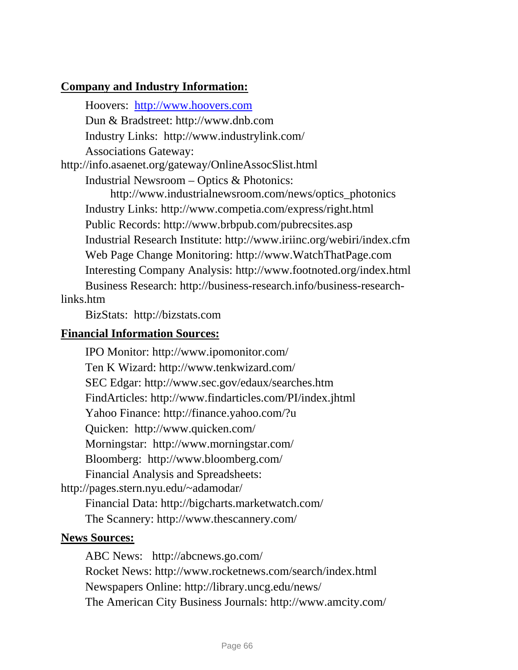### **Company and Industry Information:**

Hoovers: [http://www.hoovers.com](http://www.hoovers.com/) Dun & Bradstreet: [http://www.dnb.com](http://www.dnb.com/)  Industry Links: <http://www.industrylink.com/> Associations Gateway: <http://info.asaenet.org/gateway/OnlineAssocSlist.html> Industrial Newsroom – Optics & Photonics: [http://www.industrialnewsroom.com/news/optics\\_photonics](http://www.industrialnewsroom.com/news/optics_photonics) Industry Links:<http://www.competia.com/express/right.html> Public Records:<http://www.brbpub.com/pubrecsites.asp> Industrial Research Institute:<http://www.iriinc.org/webiri/index.cfm>

Web Page Change Monitoring: [http://www.WatchThatPage.com](http://www.watchthatpage.com/) Interesting Company Analysis: <http://www.footnoted.org/index.html>

Business Research: [http://business-research.info/business-research](http://business-research.info/business-research-links.htm)[links.htm](http://business-research.info/business-research-links.htm)

BizStats: [http://bizstats.com](http://bizstats.com/)

### **Financial Information Sources:**

IPO Monitor:<http://www.ipomonitor.com/> Ten K Wizard:<http://www.tenkwizard.com/> SEC Edgar: <http://www.sec.gov/edaux/searches.htm> FindArticles:<http://www.findarticles.com/PI/index.jhtml> Yahoo Finance:<http://finance.yahoo.com/?u> Quicken: <http://www.quicken.com/> Morningstar: <http://www.morningstar.com/> Bloomberg: <http://www.bloomberg.com/> Financial Analysis and Spreadsheets: <http://pages.stern.nyu.edu/~adamodar/> Financial Data:<http://bigcharts.marketwatch.com/> The Scannery: <http://www.thescannery.com/>

### **News Sources:**

ABC News: <http://abcnews.go.com/> Rocket News:<http://www.rocketnews.com/search/index.html> Newspapers Online:<http://library.uncg.edu/news/> The American City Business Journals: <http://www.amcity.com/>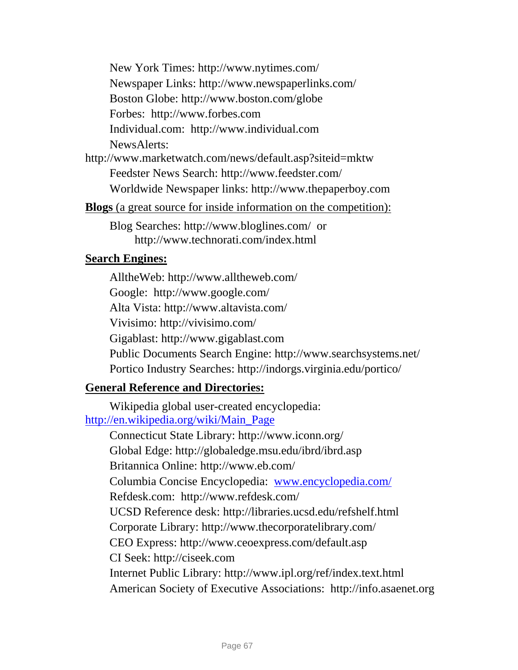New York Times:<http://www.nytimes.com/> Newspaper Links:<http://www.newspaperlinks.com/> Boston Globe:<http://www.boston.com/globe> Forbes: [http://www.forbes.com](http://www.forbes.com/) Individual.com: [http://www.individual.com](http://www.individual.com/) NewsAlerts:

<http://www.marketwatch.com/news/default.asp?siteid=mktw> Feedster News Search:<http://www.feedster.com/> Worldwide Newspaper links: [http://www.thepaperboy.com](http://www.thepaperboy.com/)

**Blogs** (a great source for inside information on the competition):

Blog Searches:<http://www.bloglines.com/>or <http://www.technorati.com/index.html>

#### **Search Engines:**

AlltheWeb:<http://www.alltheweb.com/> Google: <http://www.google.com/> Alta Vista:<http://www.altavista.com/> Vivisimo:<http://vivisimo.com/> Gigablast: [http://www.gigablast.com](http://www.gigablast.com/)  Public Documents Search Engine: <http://www.searchsystems.net/> Portico Industry Searches: <http://indorgs.virginia.edu/portico/>

### **General Reference and Directories:**

Wikipedia global user-created encyclopedia: [http://en.wikipedia.org/wiki/Main\\_Page](http://en.wikipedia.org/wiki/Main_Page)

> Connecticut State Library: <http://www.iconn.org/> Global Edge:<http://globaledge.msu.edu/ibrd/ibrd.asp> Britannica Online: <http://www.eb.com/> Columbia Concise Encyclopedia: [www.encyclopedia.com/](http://www.encyclopedia.com/) Refdesk.com: <http://www.refdesk.com/> UCSD Reference desk: <http://libraries.ucsd.edu/refshelf.html> Corporate Library:<http://www.thecorporatelibrary.com/> CEO Express: <http://www.ceoexpress.com/default.asp> CI Seek: [http://ciseek.com](http://ciseek.com/)  Internet Public Library:<http://www.ipl.org/ref/index.text.html> American Society of Executive Associations: [http://info.asaenet.org](http://info.asaenet.org/)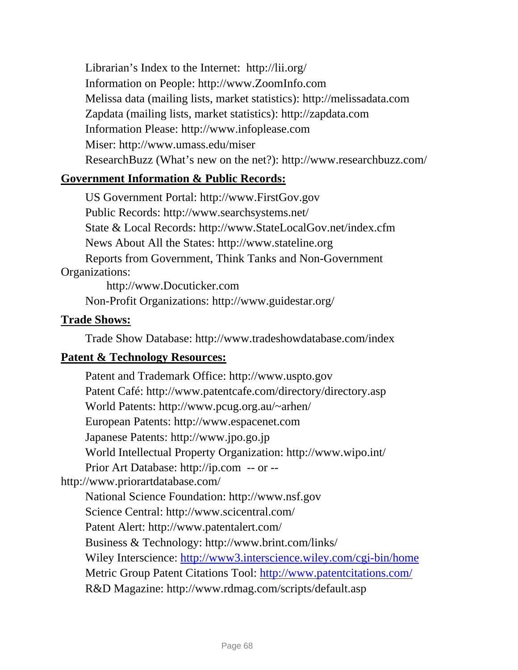Librarian's Index to the Internet: <http://lii.org/> Information on People: [http://www.ZoomInfo.com](http://www.zoominfo.com/)  Melissa data (mailing lists, market statistics): [http://melissadata.com](http://melissadata.com/) Zapdata (mailing lists, market statistics): [http://zapdata.com](http://zapdata.com/) Information Please: [http://www.infoplease.com](http://www.infoplease.com/)  [Miser](http://www.umass.edu/miser): <http://www.umass.edu/miser> ResearchBuzz (What's new on the net?):<http://www.researchbuzz.com/>

### **Government Information & Public Records:**

US Government Portal: [http://www.FirstGov.gov](http://www.firstgov.gov/) Public Records:<http://www.searchsystems.net/> State & Local Records: [http://www.StateLocalGov.net/index.cfm](http://www.statelocalgov.net/index.cfm) News About All the States: [http://www.stateline.org](http://www.stateline.org/)  Reports from Government, Think Tanks and Non-Government Organizations:

[http://www.Docuticker.com](http://www.docuticker.com/) 

Non-Profit Organizations: <http://www.guidestar.org/>

### **Trade Shows:**

Trade Show Database: <http://www.tradeshowdatabase.com/index>

### **Patent & Technology Resources:**

Patent and Trademark Office: [http://www.uspto.gov](http://www.uspto.gov/) Patent Café:<http://www.patentcafe.com/directory/directory.asp> World Patents: <http://www.pcug.org.au/~arhen/> European Patents: [http://www.espacenet.com](http://www.espacenet.com/)  Japanese Patents: [http://www.jpo.go.jp](http://www.jpo.go.jp/) World Intellectual Property Organization: <http://www.wipo.int/> Prior Art Database: [http://ip.com](http://ip.com/) -- or - <http://www.priorartdatabase.com/> National Science Foundation: [http://www.nsf.gov](http://www.nsf.gov/)  Science Central:<http://www.scicentral.com/> Patent Alert:<http://www.patentalert.com/> Business & Technology: <http://www.brint.com/links/> Wiley Interscience:<http://www3.interscience.wiley.com/cgi-bin/home> Metric Group Patent Citations Tool:<http://www.patentcitations.com/> R&D Magazine:<http://www.rdmag.com/scripts/default.asp>